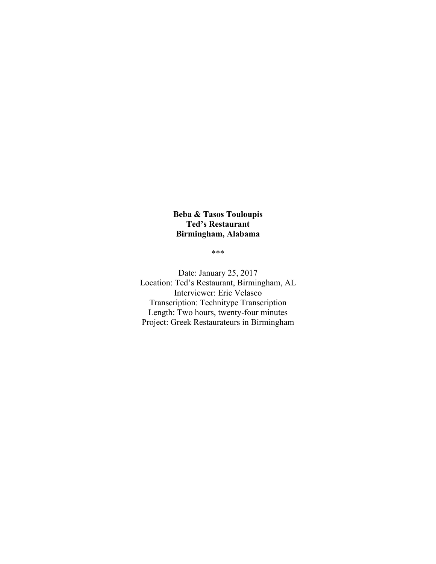# **Beba & Tasos Touloupis Ted's Restaurant Birmingham, Alabama**

\*\*\*

Date: January 25, 2017 Location: Ted's Restaurant, Birmingham, AL Interviewer: Eric Velasco Transcription: Technitype Transcription Length: Two hours, twenty-four minutes Project: Greek Restaurateurs in Birmingham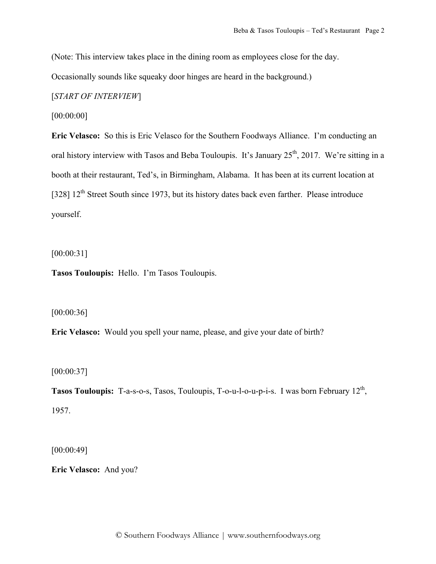(Note: This interview takes place in the dining room as employees close for the day.

Occasionally sounds like squeaky door hinges are heard in the background.)

[*START OF INTERVIEW*]

[00:00:00]

**Eric Velasco:** So this is Eric Velasco for the Southern Foodways Alliance. I'm conducting an oral history interview with Tasos and Beba Touloupis. It's January  $25<sup>th</sup>$ , 2017. We're sitting in a booth at their restaurant, Ted's, in Birmingham, Alabama. It has been at its current location at [328]  $12<sup>th</sup>$  Street South since 1973, but its history dates back even farther. Please introduce yourself.

[00:00:31]

**Tasos Touloupis:** Hello. I'm Tasos Touloupis.

[00:00:36]

**Eric Velasco:** Would you spell your name, please, and give your date of birth?

[00:00:37]

**Tasos Touloupis:** T-a-s-o-s, Tasos, Touloupis, T-o-u-l-o-u-p-i-s. I was born February 12<sup>th</sup>, 1957.

[00:00:49]

**Eric Velasco:** And you?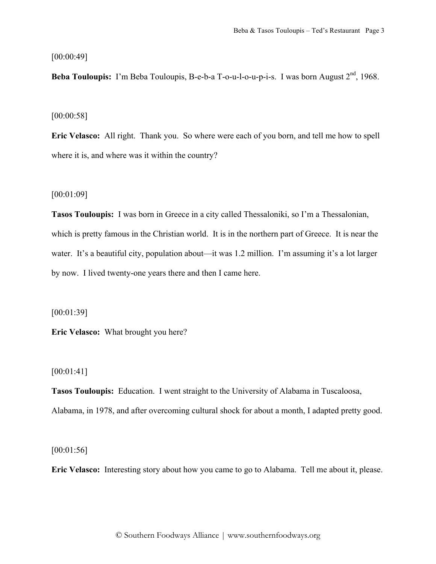### [00:00:49]

Beba Touloupis: I'm Beba Touloupis, B-e-b-a T-o-u-l-o-u-p-i-s. I was born August 2<sup>nd</sup>, 1968.

#### [00:00:58]

**Eric Velasco:** All right. Thank you. So where were each of you born, and tell me how to spell where it is, and where was it within the country?

### [00:01:09]

**Tasos Touloupis:** I was born in Greece in a city called Thessaloniki, so I'm a Thessalonian, which is pretty famous in the Christian world. It is in the northern part of Greece. It is near the water. It's a beautiful city, population about—it was 1.2 million. I'm assuming it's a lot larger by now. I lived twenty-one years there and then I came here.

[00:01:39]

**Eric Velasco:** What brought you here?

## [00:01:41]

**Tasos Touloupis:** Education. I went straight to the University of Alabama in Tuscaloosa, Alabama, in 1978, and after overcoming cultural shock for about a month, I adapted pretty good.

[00:01:56]

**Eric Velasco:** Interesting story about how you came to go to Alabama. Tell me about it, please.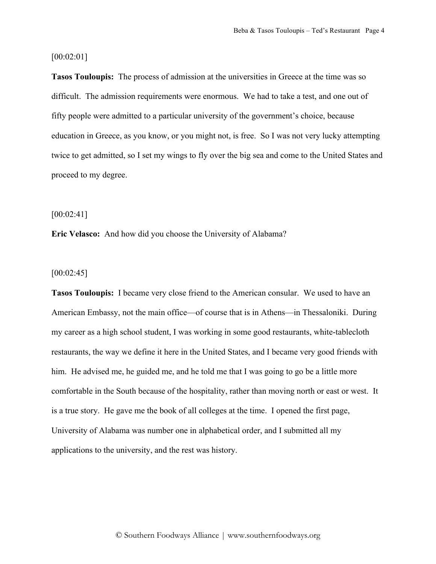### [00:02:01]

**Tasos Touloupis:** The process of admission at the universities in Greece at the time was so difficult. The admission requirements were enormous. We had to take a test, and one out of fifty people were admitted to a particular university of the government's choice, because education in Greece, as you know, or you might not, is free. So I was not very lucky attempting twice to get admitted, so I set my wings to fly over the big sea and come to the United States and proceed to my degree.

#### [00:02:41]

**Eric Velasco:** And how did you choose the University of Alabama?

### $[00:02:45]$

**Tasos Touloupis:** I became very close friend to the American consular. We used to have an American Embassy, not the main office—of course that is in Athens—in Thessaloniki. During my career as a high school student, I was working in some good restaurants, white-tablecloth restaurants, the way we define it here in the United States, and I became very good friends with him. He advised me, he guided me, and he told me that I was going to go be a little more comfortable in the South because of the hospitality, rather than moving north or east or west. It is a true story. He gave me the book of all colleges at the time. I opened the first page, University of Alabama was number one in alphabetical order, and I submitted all my applications to the university, and the rest was history.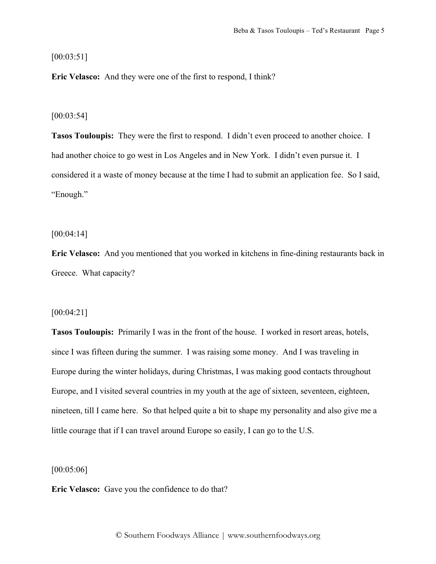## [00:03:51]

**Eric Velasco:** And they were one of the first to respond, I think?

#### [00:03:54]

**Tasos Touloupis:** They were the first to respond. I didn't even proceed to another choice. I had another choice to go west in Los Angeles and in New York. I didn't even pursue it. I considered it a waste of money because at the time I had to submit an application fee. So I said, "Enough."

#### [00:04:14]

**Eric Velasco:** And you mentioned that you worked in kitchens in fine-dining restaurants back in Greece. What capacity?

#### [00:04:21]

**Tasos Touloupis:** Primarily I was in the front of the house. I worked in resort areas, hotels, since I was fifteen during the summer. I was raising some money. And I was traveling in Europe during the winter holidays, during Christmas, I was making good contacts throughout Europe, and I visited several countries in my youth at the age of sixteen, seventeen, eighteen, nineteen, till I came here. So that helped quite a bit to shape my personality and also give me a little courage that if I can travel around Europe so easily, I can go to the U.S.

[00:05:06]

**Eric Velasco:** Gave you the confidence to do that?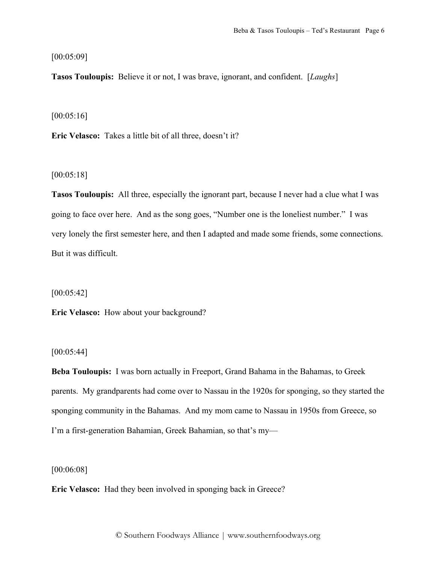[00:05:09]

**Tasos Touloupis:** Believe it or not, I was brave, ignorant, and confident. [*Laughs*]

[00:05:16]

**Eric Velasco:** Takes a little bit of all three, doesn't it?

[00:05:18]

**Tasos Touloupis:** All three, especially the ignorant part, because I never had a clue what I was going to face over here. And as the song goes, "Number one is the loneliest number." I was very lonely the first semester here, and then I adapted and made some friends, some connections. But it was difficult.

 $[00:05:42]$ 

**Eric Velasco:** How about your background?

[00:05:44]

**Beba Touloupis:** I was born actually in Freeport, Grand Bahama in the Bahamas, to Greek parents. My grandparents had come over to Nassau in the 1920s for sponging, so they started the sponging community in the Bahamas. And my mom came to Nassau in 1950s from Greece, so I'm a first-generation Bahamian, Greek Bahamian, so that's my—

[00:06:08]

**Eric Velasco:** Had they been involved in sponging back in Greece?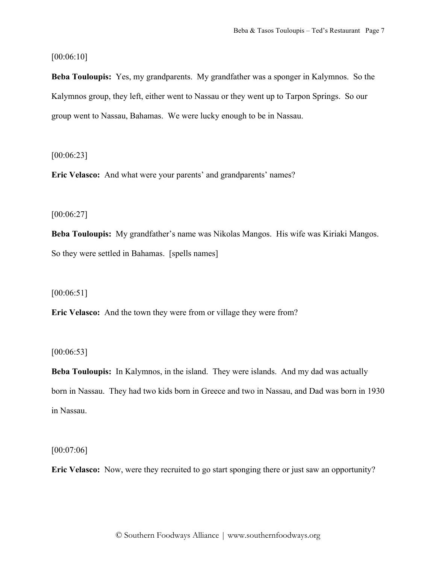[00:06:10]

**Beba Touloupis:** Yes, my grandparents. My grandfather was a sponger in Kalymnos. So the Kalymnos group, they left, either went to Nassau or they went up to Tarpon Springs. So our group went to Nassau, Bahamas. We were lucky enough to be in Nassau.

[00:06:23]

**Eric Velasco:** And what were your parents' and grandparents' names?

[00:06:27]

**Beba Touloupis:** My grandfather's name was Nikolas Mangos. His wife was Kiriaki Mangos. So they were settled in Bahamas. [spells names]

 $[00:06:51]$ 

**Eric Velasco:** And the town they were from or village they were from?

[00:06:53]

**Beba Touloupis:** In Kalymnos, in the island. They were islands. And my dad was actually born in Nassau. They had two kids born in Greece and two in Nassau, and Dad was born in 1930 in Nassau.

[00:07:06]

**Eric Velasco:** Now, were they recruited to go start sponging there or just saw an opportunity?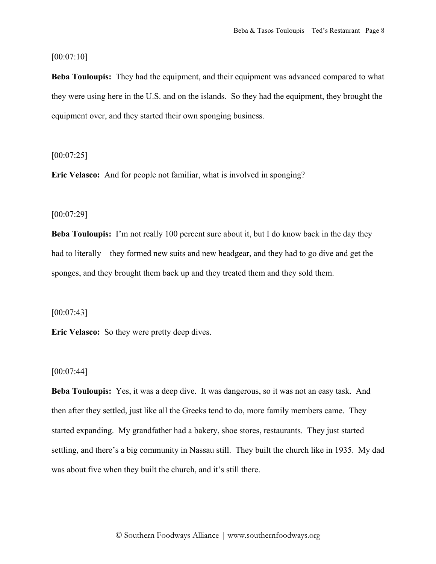[00:07:10]

**Beba Touloupis:** They had the equipment, and their equipment was advanced compared to what they were using here in the U.S. and on the islands. So they had the equipment, they brought the equipment over, and they started their own sponging business.

 $[00:07:25]$ 

**Eric Velasco:** And for people not familiar, what is involved in sponging?

#### [00:07:29]

**Beba Touloupis:** I'm not really 100 percent sure about it, but I do know back in the day they had to literally—they formed new suits and new headgear, and they had to go dive and get the sponges, and they brought them back up and they treated them and they sold them.

 $[00:07:43]$ 

**Eric Velasco:** So they were pretty deep dives.

## $[00:07:44]$

**Beba Touloupis:** Yes, it was a deep dive. It was dangerous, so it was not an easy task. And then after they settled, just like all the Greeks tend to do, more family members came. They started expanding. My grandfather had a bakery, shoe stores, restaurants. They just started settling, and there's a big community in Nassau still. They built the church like in 1935. My dad was about five when they built the church, and it's still there.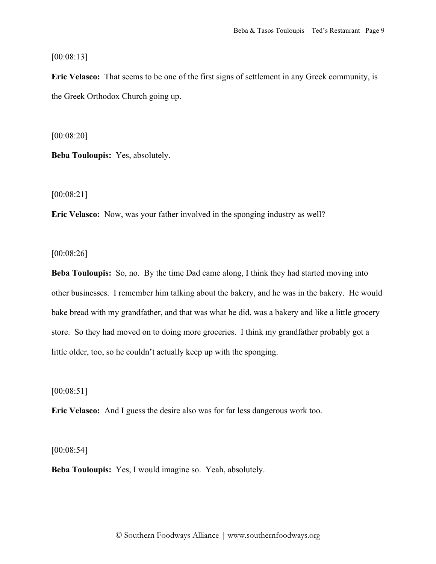[00:08:13]

**Eric Velasco:** That seems to be one of the first signs of settlement in any Greek community, is the Greek Orthodox Church going up.

[00:08:20]

**Beba Touloupis:** Yes, absolutely.

[00:08:21]

**Eric Velasco:** Now, was your father involved in the sponging industry as well?

[00:08:26]

**Beba Touloupis:** So, no. By the time Dad came along, I think they had started moving into other businesses. I remember him talking about the bakery, and he was in the bakery. He would bake bread with my grandfather, and that was what he did, was a bakery and like a little grocery store. So they had moved on to doing more groceries. I think my grandfather probably got a little older, too, so he couldn't actually keep up with the sponging.

 $[00:08:51]$ 

**Eric Velasco:** And I guess the desire also was for far less dangerous work too.

[00:08:54]

**Beba Touloupis:** Yes, I would imagine so. Yeah, absolutely.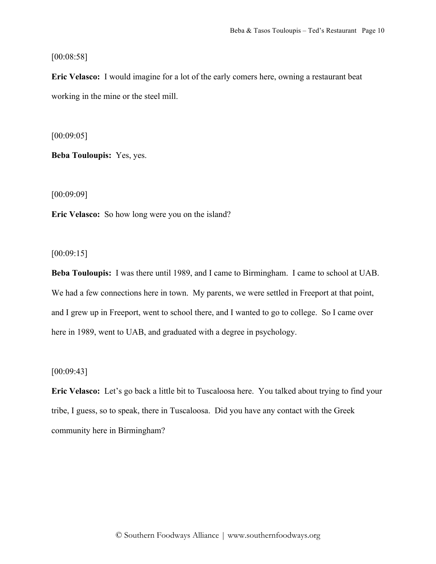[00:08:58]

**Eric Velasco:** I would imagine for a lot of the early comers here, owning a restaurant beat working in the mine or the steel mill.

[00:09:05]

**Beba Touloupis:** Yes, yes.

[00:09:09]

**Eric Velasco:** So how long were you on the island?

[00:09:15]

**Beba Touloupis:** I was there until 1989, and I came to Birmingham. I came to school at UAB. We had a few connections here in town. My parents, we were settled in Freeport at that point, and I grew up in Freeport, went to school there, and I wanted to go to college. So I came over here in 1989, went to UAB, and graduated with a degree in psychology.

## $[00:09:43]$

**Eric Velasco:** Let's go back a little bit to Tuscaloosa here. You talked about trying to find your tribe, I guess, so to speak, there in Tuscaloosa. Did you have any contact with the Greek community here in Birmingham?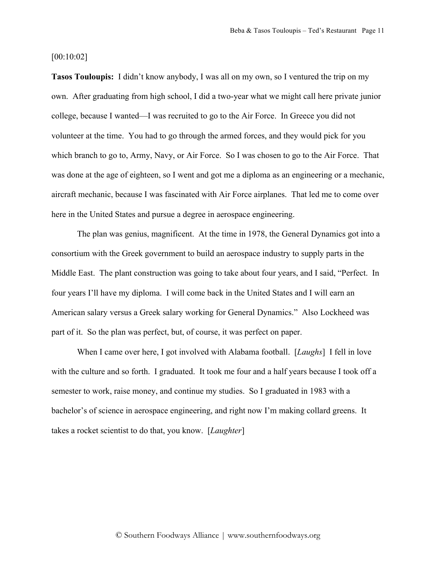#### [00:10:02]

**Tasos Touloupis:** I didn't know anybody, I was all on my own, so I ventured the trip on my own. After graduating from high school, I did a two-year what we might call here private junior college, because I wanted—I was recruited to go to the Air Force. In Greece you did not volunteer at the time. You had to go through the armed forces, and they would pick for you which branch to go to, Army, Navy, or Air Force. So I was chosen to go to the Air Force. That was done at the age of eighteen, so I went and got me a diploma as an engineering or a mechanic, aircraft mechanic, because I was fascinated with Air Force airplanes. That led me to come over here in the United States and pursue a degree in aerospace engineering.

The plan was genius, magnificent. At the time in 1978, the General Dynamics got into a consortium with the Greek government to build an aerospace industry to supply parts in the Middle East. The plant construction was going to take about four years, and I said, "Perfect. In four years I'll have my diploma. I will come back in the United States and I will earn an American salary versus a Greek salary working for General Dynamics." Also Lockheed was part of it. So the plan was perfect, but, of course, it was perfect on paper.

When I came over here, I got involved with Alabama football. [*Laughs*] I fell in love with the culture and so forth. I graduated. It took me four and a half years because I took off a semester to work, raise money, and continue my studies. So I graduated in 1983 with a bachelor's of science in aerospace engineering, and right now I'm making collard greens. It takes a rocket scientist to do that, you know. [*Laughter*]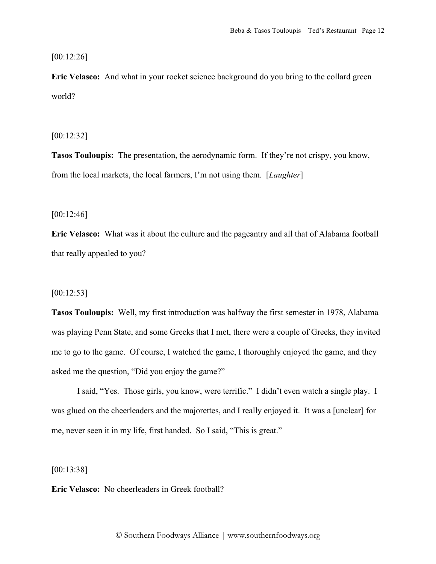[00:12:26]

**Eric Velasco:** And what in your rocket science background do you bring to the collard green world?

[00:12:32]

**Tasos Touloupis:** The presentation, the aerodynamic form. If they're not crispy, you know, from the local markets, the local farmers, I'm not using them. [*Laughter*]

[00:12:46]

**Eric Velasco:** What was it about the culture and the pageantry and all that of Alabama football that really appealed to you?

 $[00:12:53]$ 

**Tasos Touloupis:** Well, my first introduction was halfway the first semester in 1978, Alabama was playing Penn State, and some Greeks that I met, there were a couple of Greeks, they invited me to go to the game. Of course, I watched the game, I thoroughly enjoyed the game, and they asked me the question, "Did you enjoy the game?"

I said, "Yes. Those girls, you know, were terrific." I didn't even watch a single play. I was glued on the cheerleaders and the majorettes, and I really enjoyed it. It was a [unclear] for me, never seen it in my life, first handed. So I said, "This is great."

[00:13:38]

**Eric Velasco:** No cheerleaders in Greek football?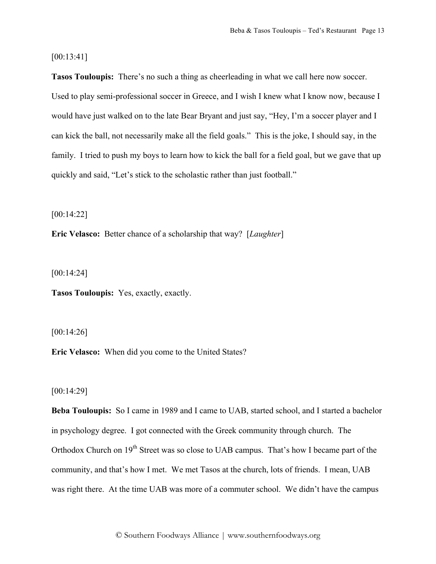[00:13:41]

**Tasos Touloupis:** There's no such a thing as cheerleading in what we call here now soccer. Used to play semi-professional soccer in Greece, and I wish I knew what I know now, because I would have just walked on to the late Bear Bryant and just say, "Hey, I'm a soccer player and I can kick the ball, not necessarily make all the field goals." This is the joke, I should say, in the family. I tried to push my boys to learn how to kick the ball for a field goal, but we gave that up quickly and said, "Let's stick to the scholastic rather than just football."

[00:14:22]

**Eric Velasco:** Better chance of a scholarship that way? [*Laughter*]

[00:14:24]

**Tasos Touloupis:** Yes, exactly, exactly.

[00:14:26]

**Eric Velasco:** When did you come to the United States?

## [00:14:29]

**Beba Touloupis:** So I came in 1989 and I came to UAB, started school, and I started a bachelor in psychology degree. I got connected with the Greek community through church. The Orthodox Church on 19<sup>th</sup> Street was so close to UAB campus. That's how I became part of the community, and that's how I met. We met Tasos at the church, lots of friends. I mean, UAB was right there. At the time UAB was more of a commuter school. We didn't have the campus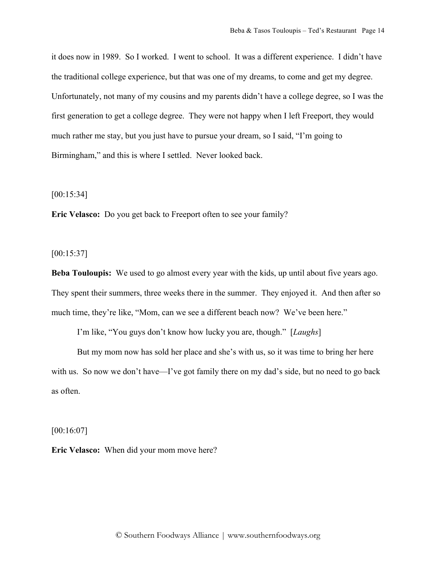it does now in 1989. So I worked. I went to school. It was a different experience. I didn't have the traditional college experience, but that was one of my dreams, to come and get my degree. Unfortunately, not many of my cousins and my parents didn't have a college degree, so I was the first generation to get a college degree. They were not happy when I left Freeport, they would much rather me stay, but you just have to pursue your dream, so I said, "I'm going to Birmingham," and this is where I settled. Never looked back.

[00:15:34]

**Eric Velasco:** Do you get back to Freeport often to see your family?

[00:15:37]

**Beba Touloupis:** We used to go almost every year with the kids, up until about five years ago. They spent their summers, three weeks there in the summer. They enjoyed it. And then after so much time, they're like, "Mom, can we see a different beach now? We've been here."

I'm like, "You guys don't know how lucky you are, though." [*Laughs*]

But my mom now has sold her place and she's with us, so it was time to bring her here with us. So now we don't have—I've got family there on my dad's side, but no need to go back as often.

[00:16:07]

**Eric Velasco:** When did your mom move here?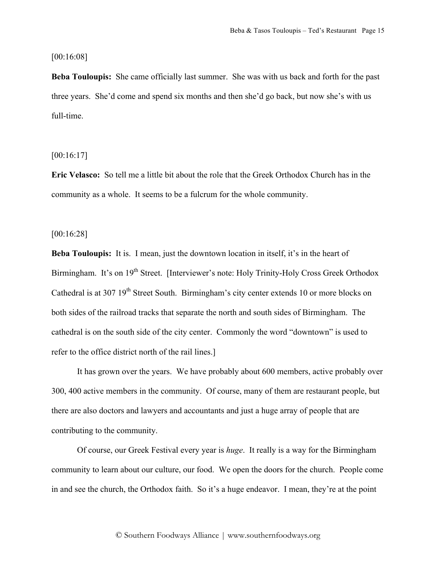#### [00:16:08]

**Beba Touloupis:** She came officially last summer. She was with us back and forth for the past three years. She'd come and spend six months and then she'd go back, but now she's with us full-time.

[00:16:17]

**Eric Velasco:** So tell me a little bit about the role that the Greek Orthodox Church has in the community as a whole. It seems to be a fulcrum for the whole community.

[00:16:28]

**Beba Touloupis:** It is. I mean, just the downtown location in itself, it's in the heart of Birmingham. It's on 19<sup>th</sup> Street. [Interviewer's note: Holy Trinity-Holy Cross Greek Orthodox Cathedral is at 307 19<sup>th</sup> Street South. Birmingham's city center extends 10 or more blocks on both sides of the railroad tracks that separate the north and south sides of Birmingham. The cathedral is on the south side of the city center. Commonly the word "downtown" is used to refer to the office district north of the rail lines.]

It has grown over the years. We have probably about 600 members, active probably over 300, 400 active members in the community. Of course, many of them are restaurant people, but there are also doctors and lawyers and accountants and just a huge array of people that are contributing to the community.

Of course, our Greek Festival every year is *huge*. It really is a way for the Birmingham community to learn about our culture, our food. We open the doors for the church. People come in and see the church, the Orthodox faith. So it's a huge endeavor. I mean, they're at the point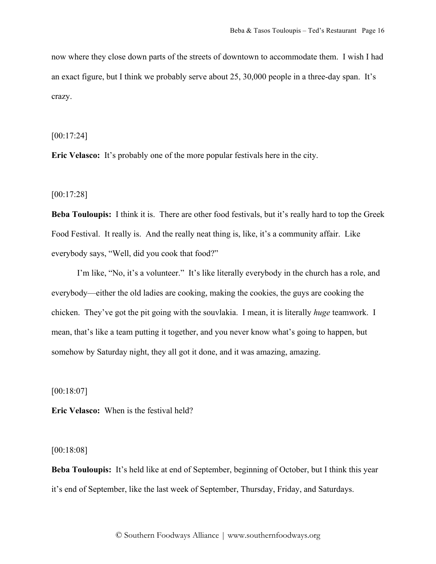now where they close down parts of the streets of downtown to accommodate them. I wish I had an exact figure, but I think we probably serve about 25, 30,000 people in a three-day span. It's crazy.

#### [00:17:24]

**Eric Velasco:** It's probably one of the more popular festivals here in the city.

[00:17:28]

**Beba Touloupis:** I think it is. There are other food festivals, but it's really hard to top the Greek Food Festival. It really is. And the really neat thing is, like, it's a community affair. Like everybody says, "Well, did you cook that food?"

I'm like, "No, it's a volunteer." It's like literally everybody in the church has a role, and everybody—either the old ladies are cooking, making the cookies, the guys are cooking the chicken. They've got the pit going with the souvlakia. I mean, it is literally *huge* teamwork. I mean, that's like a team putting it together, and you never know what's going to happen, but somehow by Saturday night, they all got it done, and it was amazing, amazing.

[00:18:07]

**Eric Velasco:** When is the festival held?

## [00:18:08]

**Beba Touloupis:** It's held like at end of September, beginning of October, but I think this year it's end of September, like the last week of September, Thursday, Friday, and Saturdays.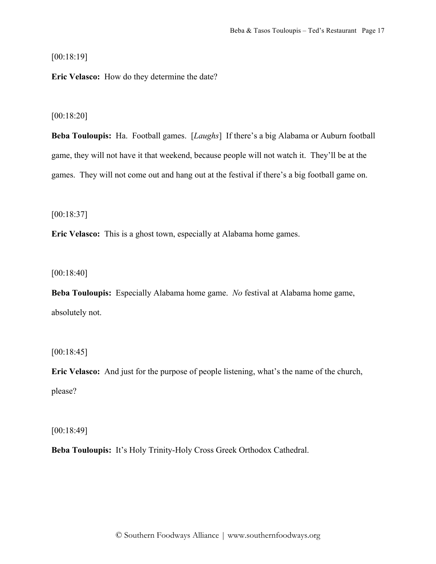[00:18:19]

**Eric Velasco:** How do they determine the date?

[00:18:20]

**Beba Touloupis:** Ha. Football games. [*Laughs*] If there's a big Alabama or Auburn football game, they will not have it that weekend, because people will not watch it. They'll be at the games. They will not come out and hang out at the festival if there's a big football game on.

[00:18:37]

**Eric Velasco:** This is a ghost town, especially at Alabama home games.

[00:18:40]

**Beba Touloupis:** Especially Alabama home game. *No* festival at Alabama home game, absolutely not.

[00:18:45]

**Eric Velasco:** And just for the purpose of people listening, what's the name of the church, please?

[00:18:49]

**Beba Touloupis:** It's Holy Trinity-Holy Cross Greek Orthodox Cathedral.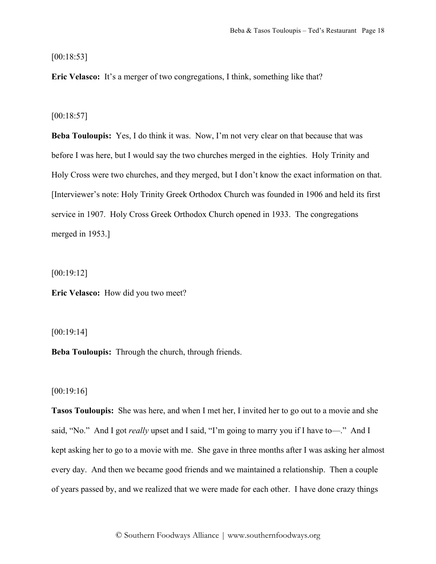[00:18:53]

**Eric Velasco:** It's a merger of two congregations, I think, something like that?

[00:18:57]

**Beba Touloupis:** Yes, I do think it was. Now, I'm not very clear on that because that was before I was here, but I would say the two churches merged in the eighties. Holy Trinity and Holy Cross were two churches, and they merged, but I don't know the exact information on that. [Interviewer's note: Holy Trinity Greek Orthodox Church was founded in 1906 and held its first service in 1907. Holy Cross Greek Orthodox Church opened in 1933. The congregations merged in 1953.]

[00:19:12]

**Eric Velasco:** How did you two meet?

[00:19:14]

**Beba Touloupis:** Through the church, through friends.

[00:19:16]

**Tasos Touloupis:** She was here, and when I met her, I invited her to go out to a movie and she said, "No." And I got *really* upset and I said, "I'm going to marry you if I have to-". And I kept asking her to go to a movie with me. She gave in three months after I was asking her almost every day. And then we became good friends and we maintained a relationship. Then a couple of years passed by, and we realized that we were made for each other. I have done crazy things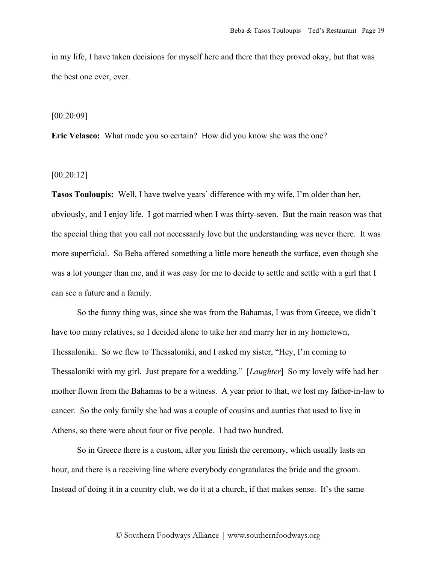in my life, I have taken decisions for myself here and there that they proved okay, but that was the best one ever, ever.

#### [00:20:09]

**Eric Velasco:** What made you so certain? How did you know she was the one?

## [00:20:12]

**Tasos Touloupis:** Well, I have twelve years' difference with my wife, I'm older than her, obviously, and I enjoy life. I got married when I was thirty-seven. But the main reason was that the special thing that you call not necessarily love but the understanding was never there. It was more superficial. So Beba offered something a little more beneath the surface, even though she was a lot younger than me, and it was easy for me to decide to settle and settle with a girl that I can see a future and a family.

So the funny thing was, since she was from the Bahamas, I was from Greece, we didn't have too many relatives, so I decided alone to take her and marry her in my hometown, Thessaloniki. So we flew to Thessaloniki, and I asked my sister, "Hey, I'm coming to Thessaloniki with my girl. Just prepare for a wedding." [*Laughter*] So my lovely wife had her mother flown from the Bahamas to be a witness. A year prior to that, we lost my father-in-law to cancer. So the only family she had was a couple of cousins and aunties that used to live in Athens, so there were about four or five people. I had two hundred.

So in Greece there is a custom, after you finish the ceremony, which usually lasts an hour, and there is a receiving line where everybody congratulates the bride and the groom. Instead of doing it in a country club, we do it at a church, if that makes sense. It's the same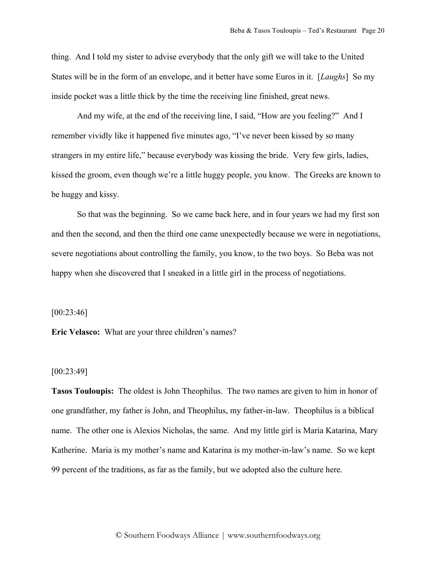thing. And I told my sister to advise everybody that the only gift we will take to the United States will be in the form of an envelope, and it better have some Euros in it. [*Laughs*] So my inside pocket was a little thick by the time the receiving line finished, great news.

And my wife, at the end of the receiving line, I said, "How are you feeling?" And I remember vividly like it happened five minutes ago, "I've never been kissed by so many strangers in my entire life," because everybody was kissing the bride. Very few girls, ladies, kissed the groom, even though we're a little huggy people, you know. The Greeks are known to be huggy and kissy.

So that was the beginning. So we came back here, and in four years we had my first son and then the second, and then the third one came unexpectedly because we were in negotiations, severe negotiations about controlling the family, you know, to the two boys. So Beba was not happy when she discovered that I sneaked in a little girl in the process of negotiations.

 $[00:23:46]$ 

**Eric Velasco:** What are your three children's names?

## [00:23:49]

**Tasos Touloupis:** The oldest is John Theophilus. The two names are given to him in honor of one grandfather, my father is John, and Theophilus, my father-in-law. Theophilus is a biblical name. The other one is Alexios Nicholas, the same. And my little girl is Maria Katarina, Mary Katherine. Maria is my mother's name and Katarina is my mother-in-law's name. So we kept 99 percent of the traditions, as far as the family, but we adopted also the culture here.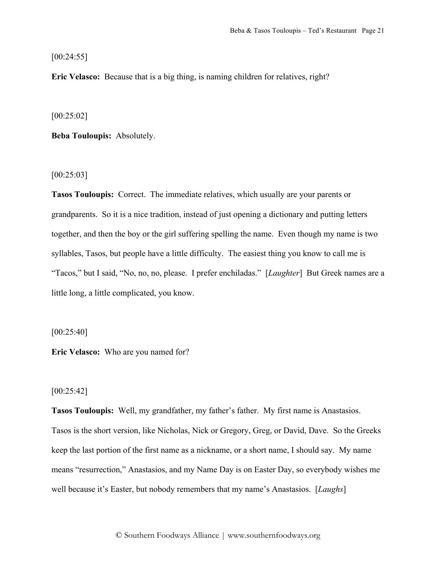[00:24:55]

**Eric Velasco:** Because that is a big thing, is naming children for relatives, right?

[00:25:02]

**Beba Touloupis:** Absolutely.

 $[00:25:03]$ 

**Tasos Touloupis:** Correct. The immediate relatives, which usually are your parents or grandparents. So it is a nice tradition, instead of just opening a dictionary and putting letters together, and then the boy or the girl suffering spelling the name. Even though my name is two syllables, Tasos, but people have a little difficulty. The easiest thing you know to call me is "Tacos," but I said, "No, no, no, please. I prefer enchiladas." [*Laughter*] But Greek names are a little long, a little complicated, you know.

[00:25:40]

**Eric Velasco:** Who are you named for?

## $[00:25:42]$

**Tasos Touloupis:** Well, my grandfather, my father's father. My first name is Anastasios. Tasos is the short version, like Nicholas, Nick or Gregory, Greg, or David, Dave. So the Greeks keep the last portion of the first name as a nickname, or a short name, I should say. My name means "resurrection," Anastasios, and my Name Day is on Easter Day, so everybody wishes me well because it's Easter, but nobody remembers that my name's Anastasios. [*Laughs*]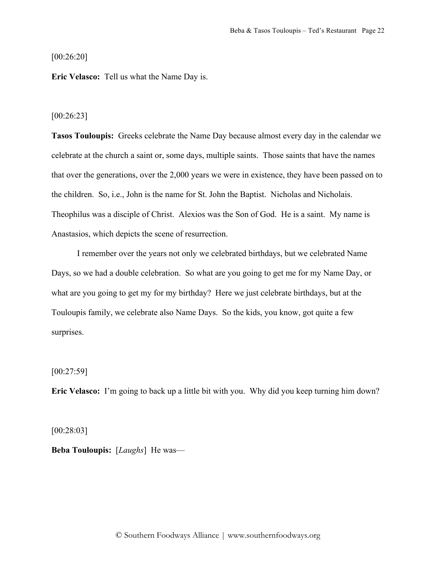[00:26:20]

**Eric Velasco:** Tell us what the Name Day is.

### [00:26:23]

**Tasos Touloupis:** Greeks celebrate the Name Day because almost every day in the calendar we celebrate at the church a saint or, some days, multiple saints. Those saints that have the names that over the generations, over the 2,000 years we were in existence, they have been passed on to the children. So, i.e., John is the name for St. John the Baptist. Nicholas and Nicholais. Theophilus was a disciple of Christ. Alexios was the Son of God. He is a saint. My name is Anastasios, which depicts the scene of resurrection.

I remember over the years not only we celebrated birthdays, but we celebrated Name Days, so we had a double celebration. So what are you going to get me for my Name Day, or what are you going to get my for my birthday? Here we just celebrate birthdays, but at the Touloupis family, we celebrate also Name Days. So the kids, you know, got quite a few surprises.

## $[00:27:59]$

**Eric Velasco:** I'm going to back up a little bit with you. Why did you keep turning him down?

[00:28:03]

**Beba Touloupis:** [*Laughs*] He was—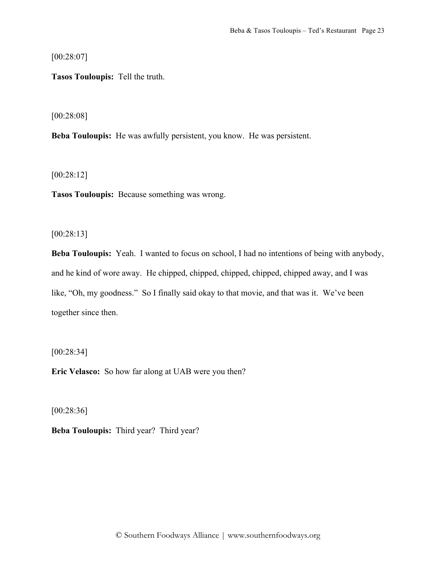[00:28:07]

**Tasos Touloupis:** Tell the truth.

[00:28:08]

**Beba Touloupis:** He was awfully persistent, you know. He was persistent.

[00:28:12]

**Tasos Touloupis:** Because something was wrong.

[00:28:13]

**Beba Touloupis:** Yeah. I wanted to focus on school, I had no intentions of being with anybody, and he kind of wore away. He chipped, chipped, chipped, chipped, chipped away, and I was like, "Oh, my goodness." So I finally said okay to that movie, and that was it. We've been together since then.

[00:28:34]

**Eric Velasco:** So how far along at UAB were you then?

[00:28:36]

**Beba Touloupis:** Third year? Third year?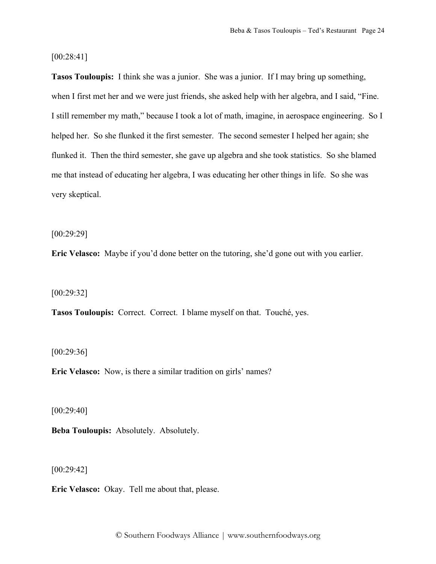## [00:28:41]

**Tasos Touloupis:** I think she was a junior. She was a junior. If I may bring up something, when I first met her and we were just friends, she asked help with her algebra, and I said, "Fine. I still remember my math," because I took a lot of math, imagine, in aerospace engineering. So I helped her. So she flunked it the first semester. The second semester I helped her again; she flunked it. Then the third semester, she gave up algebra and she took statistics. So she blamed me that instead of educating her algebra, I was educating her other things in life. So she was very skeptical.

[00:29:29]

**Eric Velasco:** Maybe if you'd done better on the tutoring, she'd gone out with you earlier.

[00:29:32]

**Tasos Touloupis:** Correct. Correct. I blame myself on that. Touché, yes.

[00:29:36]

**Eric Velasco:** Now, is there a similar tradition on girls' names?

[00:29:40]

**Beba Touloupis:** Absolutely. Absolutely.

 $[00:29:42]$ 

**Eric Velasco:** Okay. Tell me about that, please.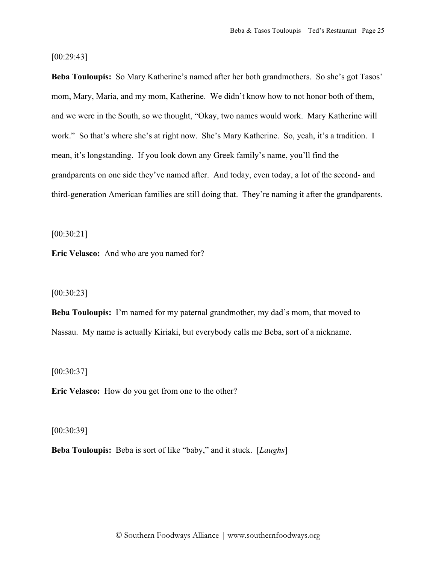## [00:29:43]

**Beba Touloupis:** So Mary Katherine's named after her both grandmothers. So she's got Tasos' mom, Mary, Maria, and my mom, Katherine. We didn't know how to not honor both of them, and we were in the South, so we thought, "Okay, two names would work. Mary Katherine will work." So that's where she's at right now. She's Mary Katherine. So, yeah, it's a tradition. I mean, it's longstanding. If you look down any Greek family's name, you'll find the grandparents on one side they've named after. And today, even today, a lot of the second- and third-generation American families are still doing that. They're naming it after the grandparents.

[00:30:21]

**Eric Velasco:** And who are you named for?

[00:30:23]

**Beba Touloupis:** I'm named for my paternal grandmother, my dad's mom, that moved to Nassau. My name is actually Kiriaki, but everybody calls me Beba, sort of a nickname.

[00:30:37]

**Eric Velasco:** How do you get from one to the other?

[00:30:39]

**Beba Touloupis:** Beba is sort of like "baby," and it stuck. [*Laughs*]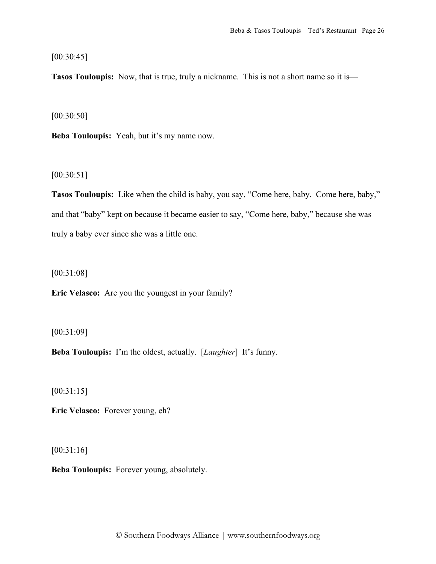[00:30:45]

**Tasos Touloupis:** Now, that is true, truly a nickname. This is not a short name so it is—

[00:30:50]

**Beba Touloupis:** Yeah, but it's my name now.

[00:30:51]

**Tasos Touloupis:** Like when the child is baby, you say, "Come here, baby. Come here, baby," and that "baby" kept on because it became easier to say, "Come here, baby," because she was truly a baby ever since she was a little one.

[00:31:08]

**Eric Velasco:** Are you the youngest in your family?

[00:31:09]

**Beba Touloupis:** I'm the oldest, actually. [*Laughter*] It's funny.

[00:31:15]

**Eric Velasco:** Forever young, eh?

[00:31:16]

**Beba Touloupis:** Forever young, absolutely.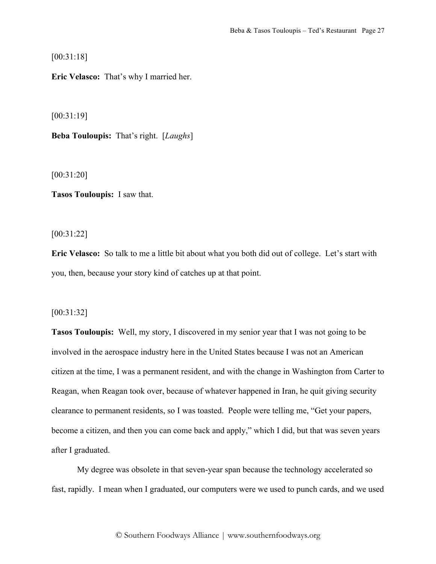[00:31:18]

**Eric Velasco:** That's why I married her.

[00:31:19]

**Beba Touloupis:** That's right. [*Laughs*]

[00:31:20]

**Tasos Touloupis:** I saw that.

[00:31:22]

**Eric Velasco:** So talk to me a little bit about what you both did out of college. Let's start with you, then, because your story kind of catches up at that point.

#### [00:31:32]

**Tasos Touloupis:** Well, my story, I discovered in my senior year that I was not going to be involved in the aerospace industry here in the United States because I was not an American citizen at the time, I was a permanent resident, and with the change in Washington from Carter to Reagan, when Reagan took over, because of whatever happened in Iran, he quit giving security clearance to permanent residents, so I was toasted. People were telling me, "Get your papers, become a citizen, and then you can come back and apply," which I did, but that was seven years after I graduated.

My degree was obsolete in that seven-year span because the technology accelerated so fast, rapidly. I mean when I graduated, our computers were we used to punch cards, and we used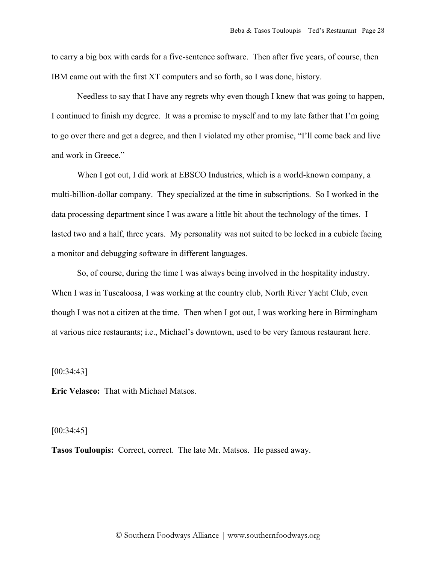to carry a big box with cards for a five-sentence software. Then after five years, of course, then IBM came out with the first XT computers and so forth, so I was done, history.

Needless to say that I have any regrets why even though I knew that was going to happen, I continued to finish my degree. It was a promise to myself and to my late father that I'm going to go over there and get a degree, and then I violated my other promise, "I'll come back and live and work in Greece."

When I got out, I did work at EBSCO Industries, which is a world-known company, a multi-billion-dollar company. They specialized at the time in subscriptions. So I worked in the data processing department since I was aware a little bit about the technology of the times. I lasted two and a half, three years. My personality was not suited to be locked in a cubicle facing a monitor and debugging software in different languages.

So, of course, during the time I was always being involved in the hospitality industry. When I was in Tuscaloosa, I was working at the country club, North River Yacht Club, even though I was not a citizen at the time. Then when I got out, I was working here in Birmingham at various nice restaurants; i.e., Michael's downtown, used to be very famous restaurant here.

[00:34:43]

**Eric Velasco:** That with Michael Matsos.

## [00:34:45]

**Tasos Touloupis:** Correct, correct. The late Mr. Matsos. He passed away.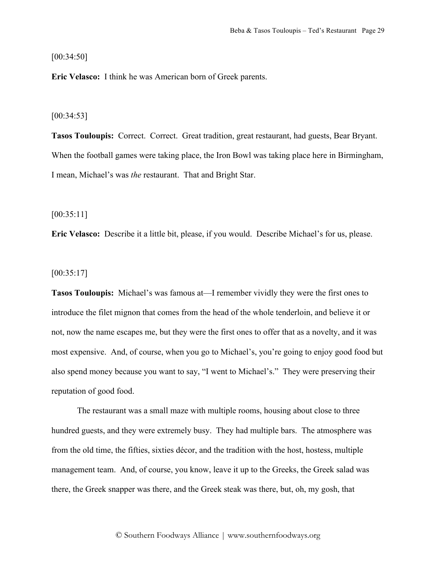[00:34:50]

**Eric Velasco:** I think he was American born of Greek parents.

#### [00:34:53]

**Tasos Touloupis:** Correct. Correct. Great tradition, great restaurant, had guests, Bear Bryant. When the football games were taking place, the Iron Bowl was taking place here in Birmingham, I mean, Michael's was *the* restaurant. That and Bright Star.

[00:35:11]

**Eric Velasco:** Describe it a little bit, please, if you would. Describe Michael's for us, please.

 $[00:35:17]$ 

**Tasos Touloupis:** Michael's was famous at—I remember vividly they were the first ones to introduce the filet mignon that comes from the head of the whole tenderloin, and believe it or not, now the name escapes me, but they were the first ones to offer that as a novelty, and it was most expensive. And, of course, when you go to Michael's, you're going to enjoy good food but also spend money because you want to say, "I went to Michael's." They were preserving their reputation of good food.

The restaurant was a small maze with multiple rooms, housing about close to three hundred guests, and they were extremely busy. They had multiple bars. The atmosphere was from the old time, the fifties, sixties décor, and the tradition with the host, hostess, multiple management team. And, of course, you know, leave it up to the Greeks, the Greek salad was there, the Greek snapper was there, and the Greek steak was there, but, oh, my gosh, that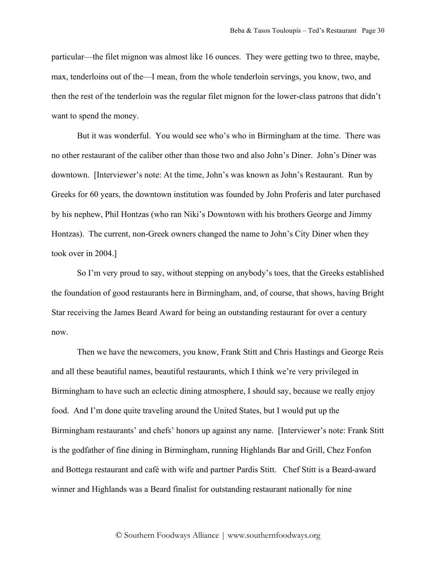particular—the filet mignon was almost like 16 ounces. They were getting two to three, maybe, max, tenderloins out of the—I mean, from the whole tenderloin servings, you know, two, and then the rest of the tenderloin was the regular filet mignon for the lower-class patrons that didn't want to spend the money.

But it was wonderful. You would see who's who in Birmingham at the time. There was no other restaurant of the caliber other than those two and also John's Diner. John's Diner was downtown. [Interviewer's note: At the time, John's was known as John's Restaurant. Run by Greeks for 60 years, the downtown institution was founded by John Proferis and later purchased by his nephew, Phil Hontzas (who ran Niki's Downtown with his brothers George and Jimmy Hontzas). The current, non-Greek owners changed the name to John's City Diner when they took over in 2004.]

So I'm very proud to say, without stepping on anybody's toes, that the Greeks established the foundation of good restaurants here in Birmingham, and, of course, that shows, having Bright Star receiving the James Beard Award for being an outstanding restaurant for over a century now.

Then we have the newcomers, you know, Frank Stitt and Chris Hastings and George Reis and all these beautiful names, beautiful restaurants, which I think we're very privileged in Birmingham to have such an eclectic dining atmosphere, I should say, because we really enjoy food. And I'm done quite traveling around the United States, but I would put up the Birmingham restaurants' and chefs' honors up against any name. [Interviewer's note: Frank Stitt is the godfather of fine dining in Birmingham, running Highlands Bar and Grill, Chez Fonfon and Bottega restaurant and café with wife and partner Pardis Stitt. Chef Stitt is a Beard-award winner and Highlands was a Beard finalist for outstanding restaurant nationally for nine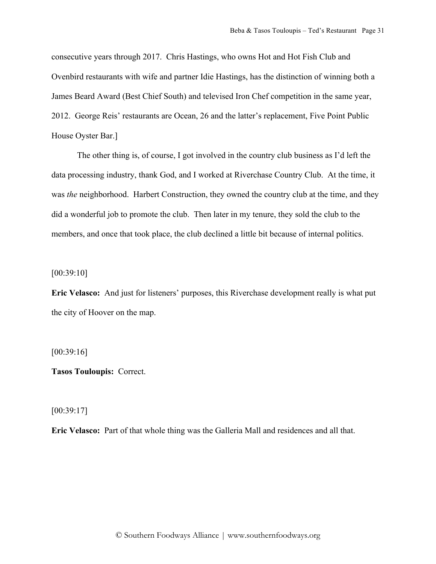consecutive years through 2017. Chris Hastings, who owns Hot and Hot Fish Club and Ovenbird restaurants with wife and partner Idie Hastings, has the distinction of winning both a James Beard Award (Best Chief South) and televised Iron Chef competition in the same year, 2012. George Reis' restaurants are Ocean, 26 and the latter's replacement, Five Point Public House Oyster Bar.]

The other thing is, of course, I got involved in the country club business as I'd left the data processing industry, thank God, and I worked at Riverchase Country Club. At the time, it was *the* neighborhood. Harbert Construction, they owned the country club at the time, and they did a wonderful job to promote the club. Then later in my tenure, they sold the club to the members, and once that took place, the club declined a little bit because of internal politics.

[00:39:10]

**Eric Velasco:** And just for listeners' purposes, this Riverchase development really is what put the city of Hoover on the map.

[00:39:16]

**Tasos Touloupis:** Correct.

[00:39:17]

**Eric Velasco:** Part of that whole thing was the Galleria Mall and residences and all that.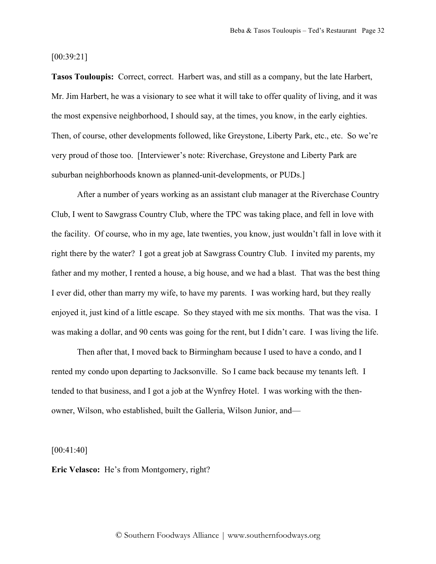[00:39:21]

**Tasos Touloupis:** Correct, correct. Harbert was, and still as a company, but the late Harbert, Mr. Jim Harbert, he was a visionary to see what it will take to offer quality of living, and it was the most expensive neighborhood, I should say, at the times, you know, in the early eighties. Then, of course, other developments followed, like Greystone, Liberty Park, etc., etc. So we're very proud of those too. [Interviewer's note: Riverchase, Greystone and Liberty Park are suburban neighborhoods known as planned-unit-developments, or PUDs.]

After a number of years working as an assistant club manager at the Riverchase Country Club, I went to Sawgrass Country Club, where the TPC was taking place, and fell in love with the facility. Of course, who in my age, late twenties, you know, just wouldn't fall in love with it right there by the water? I got a great job at Sawgrass Country Club. I invited my parents, my father and my mother, I rented a house, a big house, and we had a blast. That was the best thing I ever did, other than marry my wife, to have my parents. I was working hard, but they really enjoyed it, just kind of a little escape. So they stayed with me six months. That was the visa. I was making a dollar, and 90 cents was going for the rent, but I didn't care. I was living the life.

Then after that, I moved back to Birmingham because I used to have a condo, and I rented my condo upon departing to Jacksonville. So I came back because my tenants left. I tended to that business, and I got a job at the Wynfrey Hotel. I was working with the thenowner, Wilson, who established, built the Galleria, Wilson Junior, and—

[00:41:40]

**Eric Velasco:** He's from Montgomery, right?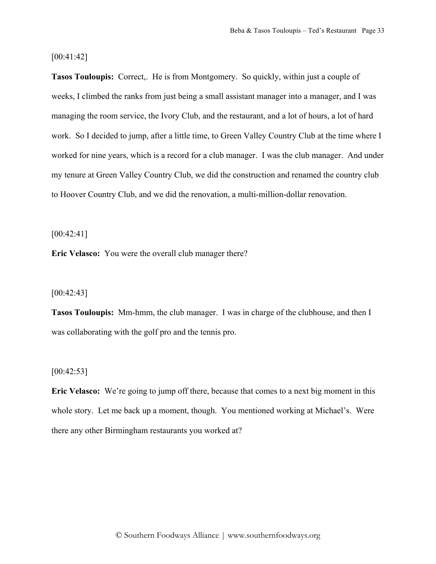[00:41:42]

**Tasos Touloupis:** Correct, He is from Montgomery. So quickly, within just a couple of weeks, I climbed the ranks from just being a small assistant manager into a manager, and I was managing the room service, the Ivory Club, and the restaurant, and a lot of hours, a lot of hard work. So I decided to jump, after a little time, to Green Valley Country Club at the time where I worked for nine years, which is a record for a club manager. I was the club manager. And under my tenure at Green Valley Country Club, we did the construction and renamed the country club to Hoover Country Club, and we did the renovation, a multi-million-dollar renovation.

[00:42:41]

**Eric Velasco:** You were the overall club manager there?

 $[00:42:43]$ 

**Tasos Touloupis:** Mm-hmm, the club manager. I was in charge of the clubhouse, and then I was collaborating with the golf pro and the tennis pro.

 $[00:42:53]$ 

**Eric Velasco:** We're going to jump off there, because that comes to a next big moment in this whole story. Let me back up a moment, though. You mentioned working at Michael's. Were there any other Birmingham restaurants you worked at?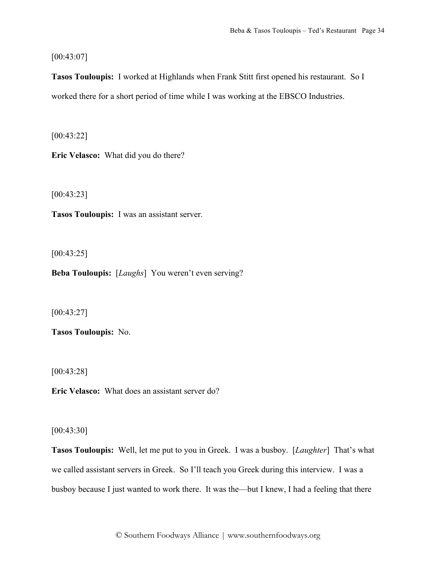[00:43:07]

**Tasos Touloupis:** I worked at Highlands when Frank Stitt first opened his restaurant. So I worked there for a short period of time while I was working at the EBSCO Industries.

[00:43:22]

**Eric Velasco:** What did you do there?

[00:43:23]

**Tasos Touloupis:** I was an assistant server.

[00:43:25]

**Beba Touloupis:** [*Laughs*] You weren't even serving?

[00:43:27]

**Tasos Touloupis:** No.

[00:43:28]

**Eric Velasco:** What does an assistant server do?

[00:43:30]

**Tasos Touloupis:** Well, let me put to you in Greek. I was a busboy. [*Laughter*] That's what we called assistant servers in Greek. So I'll teach you Greek during this interview. I was a busboy because I just wanted to work there. It was the—but I knew, I had a feeling that there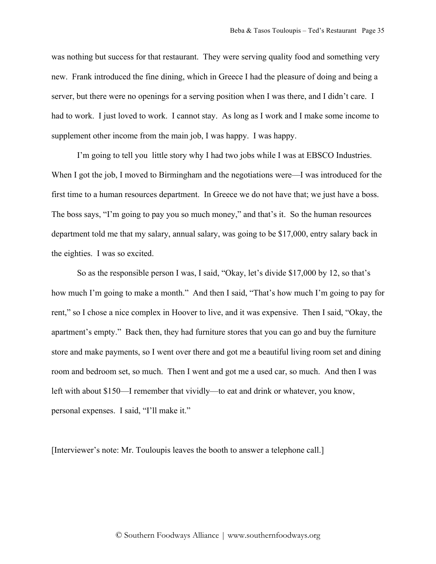was nothing but success for that restaurant. They were serving quality food and something very new. Frank introduced the fine dining, which in Greece I had the pleasure of doing and being a server, but there were no openings for a serving position when I was there, and I didn't care. I had to work. I just loved to work. I cannot stay. As long as I work and I make some income to supplement other income from the main job, I was happy. I was happy.

I'm going to tell you little story why I had two jobs while I was at EBSCO Industries. When I got the job, I moved to Birmingham and the negotiations were—I was introduced for the first time to a human resources department. In Greece we do not have that; we just have a boss. The boss says, "I'm going to pay you so much money," and that's it. So the human resources department told me that my salary, annual salary, was going to be \$17,000, entry salary back in the eighties. I was so excited.

So as the responsible person I was, I said, "Okay, let's divide \$17,000 by 12, so that's how much I'm going to make a month." And then I said, "That's how much I'm going to pay for rent," so I chose a nice complex in Hoover to live, and it was expensive. Then I said, "Okay, the apartment's empty." Back then, they had furniture stores that you can go and buy the furniture store and make payments, so I went over there and got me a beautiful living room set and dining room and bedroom set, so much. Then I went and got me a used car, so much. And then I was left with about \$150—I remember that vividly—to eat and drink or whatever, you know, personal expenses. I said, "I'll make it."

[Interviewer's note: Mr. Touloupis leaves the booth to answer a telephone call.]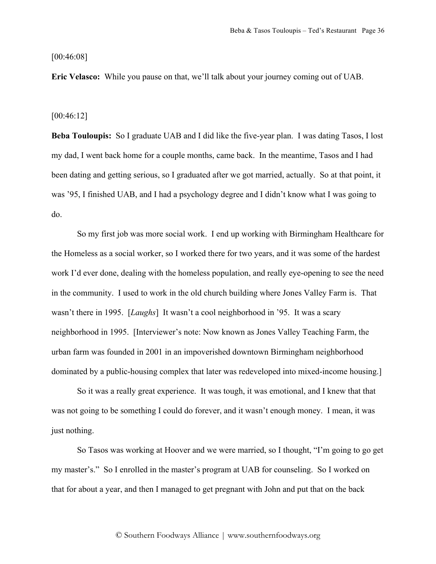[00:46:08]

**Eric Velasco:** While you pause on that, we'll talk about your journey coming out of UAB.

#### [00:46:12]

**Beba Touloupis:** So I graduate UAB and I did like the five-year plan. I was dating Tasos, I lost my dad, I went back home for a couple months, came back. In the meantime, Tasos and I had been dating and getting serious, so I graduated after we got married, actually. So at that point, it was '95, I finished UAB, and I had a psychology degree and I didn't know what I was going to do.

So my first job was more social work. I end up working with Birmingham Healthcare for the Homeless as a social worker, so I worked there for two years, and it was some of the hardest work I'd ever done, dealing with the homeless population, and really eye-opening to see the need in the community. I used to work in the old church building where Jones Valley Farm is. That wasn't there in 1995. [*Laughs*] It wasn't a cool neighborhood in '95. It was a scary neighborhood in 1995. [Interviewer's note: Now known as Jones Valley Teaching Farm, the urban farm was founded in 2001 in an impoverished downtown Birmingham neighborhood dominated by a public-housing complex that later was redeveloped into mixed-income housing.]

So it was a really great experience. It was tough, it was emotional, and I knew that that was not going to be something I could do forever, and it wasn't enough money. I mean, it was just nothing.

So Tasos was working at Hoover and we were married, so I thought, "I'm going to go get my master's." So I enrolled in the master's program at UAB for counseling. So I worked on that for about a year, and then I managed to get pregnant with John and put that on the back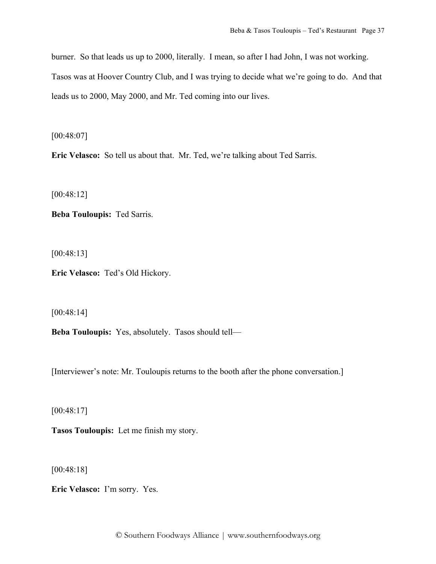burner. So that leads us up to 2000, literally. I mean, so after I had John, I was not working. Tasos was at Hoover Country Club, and I was trying to decide what we're going to do. And that leads us to 2000, May 2000, and Mr. Ted coming into our lives.

[00:48:07]

**Eric Velasco:** So tell us about that. Mr. Ted, we're talking about Ted Sarris.

[00:48:12]

**Beba Touloupis:** Ted Sarris.

[00:48:13]

**Eric Velasco:** Ted's Old Hickory.

[00:48:14]

**Beba Touloupis:** Yes, absolutely. Tasos should tell—

[Interviewer's note: Mr. Touloupis returns to the booth after the phone conversation.]

[00:48:17]

**Tasos Touloupis:** Let me finish my story.

[00:48:18]

**Eric Velasco:** I'm sorry. Yes.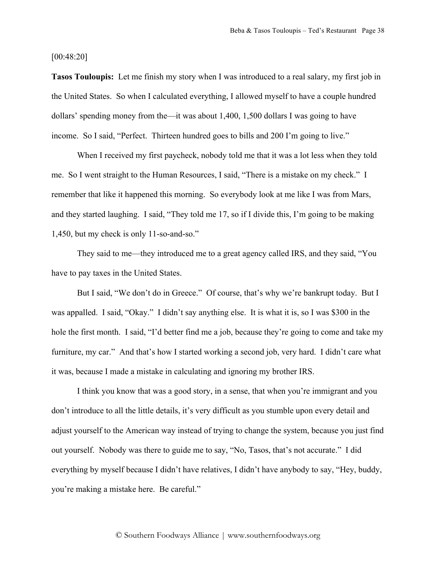[00:48:20]

**Tasos Touloupis:** Let me finish my story when I was introduced to a real salary, my first job in the United States. So when I calculated everything, I allowed myself to have a couple hundred dollars' spending money from the—it was about 1,400, 1,500 dollars I was going to have income. So I said, "Perfect. Thirteen hundred goes to bills and 200 I'm going to live."

When I received my first paycheck, nobody told me that it was a lot less when they told me. So I went straight to the Human Resources, I said, "There is a mistake on my check." I remember that like it happened this morning. So everybody look at me like I was from Mars, and they started laughing. I said, "They told me 17, so if I divide this, I'm going to be making 1,450, but my check is only 11-so-and-so."

They said to me—they introduced me to a great agency called IRS, and they said, "You have to pay taxes in the United States.

But I said, "We don't do in Greece." Of course, that's why we're bankrupt today. But I was appalled. I said, "Okay." I didn't say anything else. It is what it is, so I was \$300 in the hole the first month. I said, "I'd better find me a job, because they're going to come and take my furniture, my car." And that's how I started working a second job, very hard. I didn't care what it was, because I made a mistake in calculating and ignoring my brother IRS.

I think you know that was a good story, in a sense, that when you're immigrant and you don't introduce to all the little details, it's very difficult as you stumble upon every detail and adjust yourself to the American way instead of trying to change the system, because you just find out yourself. Nobody was there to guide me to say, "No, Tasos, that's not accurate." I did everything by myself because I didn't have relatives, I didn't have anybody to say, "Hey, buddy, you're making a mistake here. Be careful."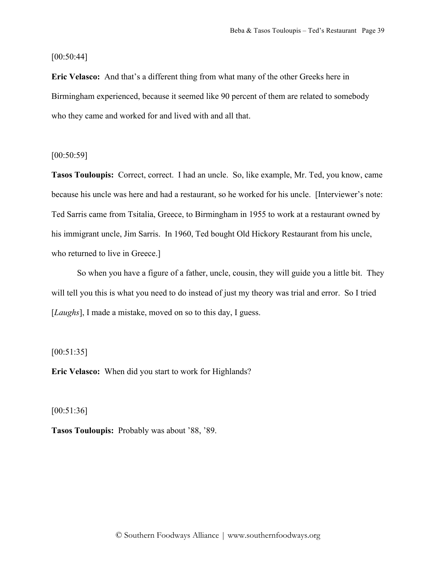[00:50:44]

**Eric Velasco:** And that's a different thing from what many of the other Greeks here in Birmingham experienced, because it seemed like 90 percent of them are related to somebody who they came and worked for and lived with and all that.

[00:50:59]

**Tasos Touloupis:** Correct, correct. I had an uncle. So, like example, Mr. Ted, you know, came because his uncle was here and had a restaurant, so he worked for his uncle. [Interviewer's note: Ted Sarris came from Tsitalia, Greece, to Birmingham in 1955 to work at a restaurant owned by his immigrant uncle, Jim Sarris. In 1960, Ted bought Old Hickory Restaurant from his uncle, who returned to live in Greece.]

So when you have a figure of a father, uncle, cousin, they will guide you a little bit. They will tell you this is what you need to do instead of just my theory was trial and error. So I tried [*Laughs*], I made a mistake, moved on so to this day, I guess.

[00:51:35]

**Eric Velasco:** When did you start to work for Highlands?

[00:51:36]

**Tasos Touloupis:** Probably was about '88, '89.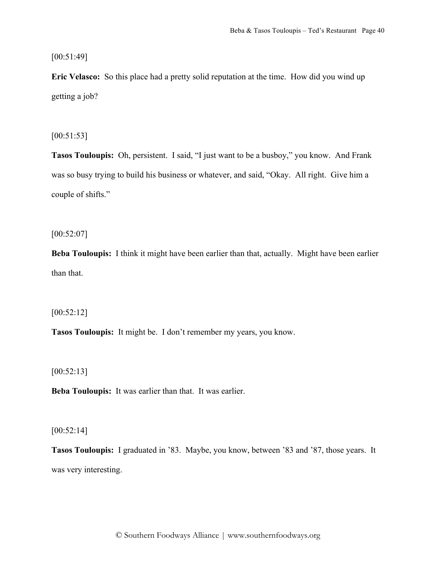[00:51:49]

**Eric Velasco:** So this place had a pretty solid reputation at the time. How did you wind up getting a job?

[00:51:53]

**Tasos Touloupis:** Oh, persistent. I said, "I just want to be a busboy," you know. And Frank was so busy trying to build his business or whatever, and said, "Okay. All right. Give him a couple of shifts."

[00:52:07]

**Beba Touloupis:** I think it might have been earlier than that, actually. Might have been earlier than that.

[00:52:12]

**Tasos Touloupis:** It might be. I don't remember my years, you know.

 $[00:52:13]$ 

**Beba Touloupis:** It was earlier than that. It was earlier.

[00:52:14]

**Tasos Touloupis:** I graduated in '83. Maybe, you know, between '83 and '87, those years. It was very interesting.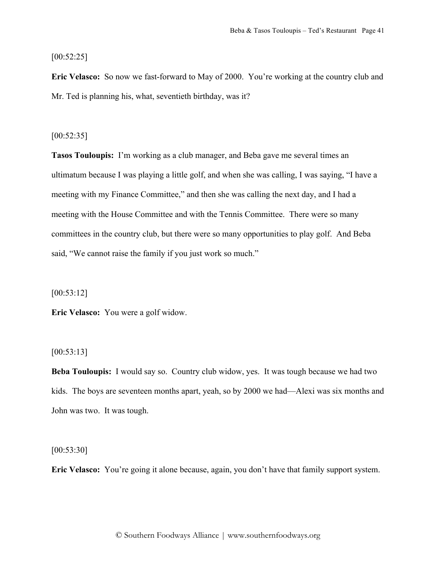[00:52:25]

**Eric Velasco:** So now we fast-forward to May of 2000. You're working at the country club and Mr. Ted is planning his, what, seventieth birthday, was it?

[00:52:35]

**Tasos Touloupis:** I'm working as a club manager, and Beba gave me several times an ultimatum because I was playing a little golf, and when she was calling, I was saying, "I have a meeting with my Finance Committee," and then she was calling the next day, and I had a meeting with the House Committee and with the Tennis Committee. There were so many committees in the country club, but there were so many opportunities to play golf. And Beba said, "We cannot raise the family if you just work so much."

[00:53:12]

**Eric Velasco:** You were a golf widow.

[00:53:13]

**Beba Touloupis:** I would say so. Country club widow, yes. It was tough because we had two kids. The boys are seventeen months apart, yeah, so by 2000 we had—Alexi was six months and John was two. It was tough.

[00:53:30]

**Eric Velasco:** You're going it alone because, again, you don't have that family support system.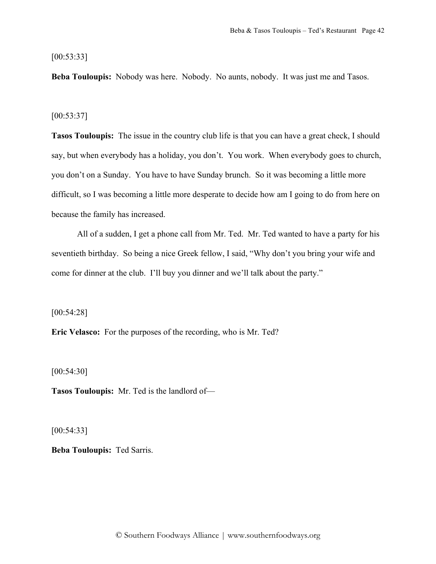[00:53:33]

**Beba Touloupis:** Nobody was here. Nobody. No aunts, nobody. It was just me and Tasos.

#### [00:53:37]

**Tasos Touloupis:** The issue in the country club life is that you can have a great check, I should say, but when everybody has a holiday, you don't. You work. When everybody goes to church, you don't on a Sunday. You have to have Sunday brunch. So it was becoming a little more difficult, so I was becoming a little more desperate to decide how am I going to do from here on because the family has increased.

All of a sudden, I get a phone call from Mr. Ted. Mr. Ted wanted to have a party for his seventieth birthday. So being a nice Greek fellow, I said, "Why don't you bring your wife and come for dinner at the club. I'll buy you dinner and we'll talk about the party."

[00:54:28]

**Eric Velasco:** For the purposes of the recording, who is Mr. Ted?

[00:54:30]

**Tasos Touloupis:** Mr. Ted is the landlord of—

[00:54:33]

**Beba Touloupis:** Ted Sarris.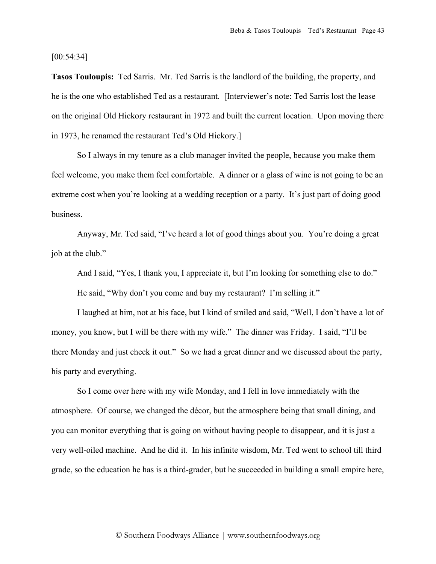[00:54:34]

**Tasos Touloupis:** Ted Sarris. Mr. Ted Sarris is the landlord of the building, the property, and he is the one who established Ted as a restaurant. [Interviewer's note: Ted Sarris lost the lease on the original Old Hickory restaurant in 1972 and built the current location. Upon moving there in 1973, he renamed the restaurant Ted's Old Hickory.]

So I always in my tenure as a club manager invited the people, because you make them feel welcome, you make them feel comfortable. A dinner or a glass of wine is not going to be an extreme cost when you're looking at a wedding reception or a party. It's just part of doing good business.

Anyway, Mr. Ted said, "I've heard a lot of good things about you. You're doing a great job at the club."

And I said, "Yes, I thank you, I appreciate it, but I'm looking for something else to do."

He said, "Why don't you come and buy my restaurant? I'm selling it."

I laughed at him, not at his face, but I kind of smiled and said, "Well, I don't have a lot of money, you know, but I will be there with my wife." The dinner was Friday. I said, "I'll be there Monday and just check it out." So we had a great dinner and we discussed about the party, his party and everything.

So I come over here with my wife Monday, and I fell in love immediately with the atmosphere. Of course, we changed the décor, but the atmosphere being that small dining, and you can monitor everything that is going on without having people to disappear, and it is just a very well-oiled machine. And he did it. In his infinite wisdom, Mr. Ted went to school till third grade, so the education he has is a third-grader, but he succeeded in building a small empire here,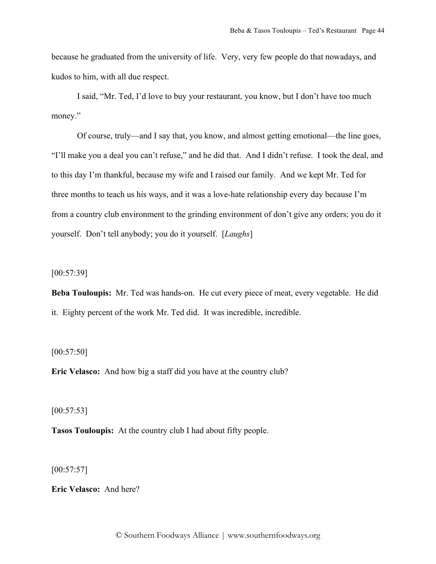because he graduated from the university of life. Very, very few people do that nowadays, and kudos to him, with all due respect.

I said, "Mr. Ted, I'd love to buy your restaurant, you know, but I don't have too much money."

Of course, truly—and I say that, you know, and almost getting emotional—the line goes, "I'll make you a deal you can't refuse," and he did that. And I didn't refuse. I took the deal, and to this day I'm thankful, because my wife and I raised our family. And we kept Mr. Ted for three months to teach us his ways, and it was a love-hate relationship every day because I'm from a country club environment to the grinding environment of don't give any orders; you do it yourself. Don't tell anybody; you do it yourself. [*Laughs*]

[00:57:39]

**Beba Touloupis:** Mr. Ted was hands-on. He cut every piece of meat, every vegetable. He did it. Eighty percent of the work Mr. Ted did. It was incredible, incredible.

[00:57:50]

**Eric Velasco:** And how big a staff did you have at the country club?

[00:57:53]

**Tasos Touloupis:** At the country club I had about fifty people.

 $[00:57:57]$ 

**Eric Velasco:** And here?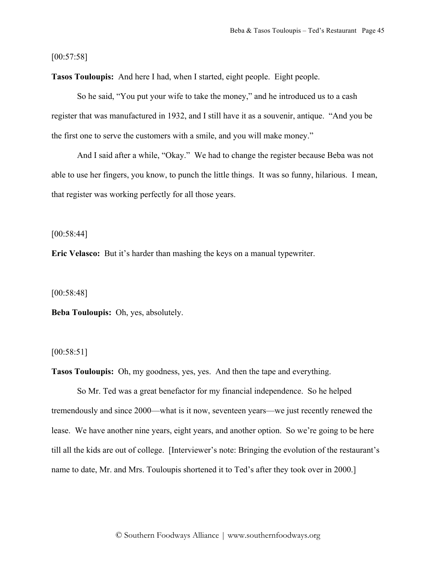[00:57:58]

**Tasos Touloupis:** And here I had, when I started, eight people. Eight people.

So he said, "You put your wife to take the money," and he introduced us to a cash register that was manufactured in 1932, and I still have it as a souvenir, antique. "And you be the first one to serve the customers with a smile, and you will make money."

And I said after a while, "Okay." We had to change the register because Beba was not able to use her fingers, you know, to punch the little things. It was so funny, hilarious. I mean, that register was working perfectly for all those years.

[00:58:44]

**Eric Velasco:** But it's harder than mashing the keys on a manual typewriter.

[00:58:48]

**Beba Touloupis:** Oh, yes, absolutely.

[00:58:51]

**Tasos Touloupis:** Oh, my goodness, yes, yes. And then the tape and everything.

So Mr. Ted was a great benefactor for my financial independence. So he helped tremendously and since 2000—what is it now, seventeen years—we just recently renewed the lease. We have another nine years, eight years, and another option. So we're going to be here till all the kids are out of college. [Interviewer's note: Bringing the evolution of the restaurant's name to date, Mr. and Mrs. Touloupis shortened it to Ted's after they took over in 2000.]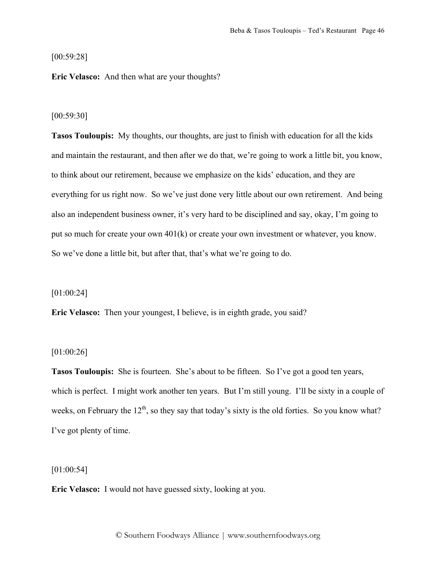[00:59:28]

**Eric Velasco:** And then what are your thoughts?

#### [00:59:30]

**Tasos Touloupis:** My thoughts, our thoughts, are just to finish with education for all the kids and maintain the restaurant, and then after we do that, we're going to work a little bit, you know, to think about our retirement, because we emphasize on the kids' education, and they are everything for us right now. So we've just done very little about our own retirement. And being also an independent business owner, it's very hard to be disciplined and say, okay, I'm going to put so much for create your own 401(k) or create your own investment or whatever, you know. So we've done a little bit, but after that, that's what we're going to do.

### [01:00:24]

**Eric Velasco:** Then your youngest, I believe, is in eighth grade, you said?

## [01:00:26]

**Tasos Touloupis:** She is fourteen. She's about to be fifteen. So I've got a good ten years, which is perfect. I might work another ten years. But I'm still young. I'll be sixty in a couple of weeks, on February the  $12<sup>th</sup>$ , so they say that today's sixty is the old forties. So you know what? I've got plenty of time.

# $[01:00:54]$

**Eric Velasco:** I would not have guessed sixty, looking at you.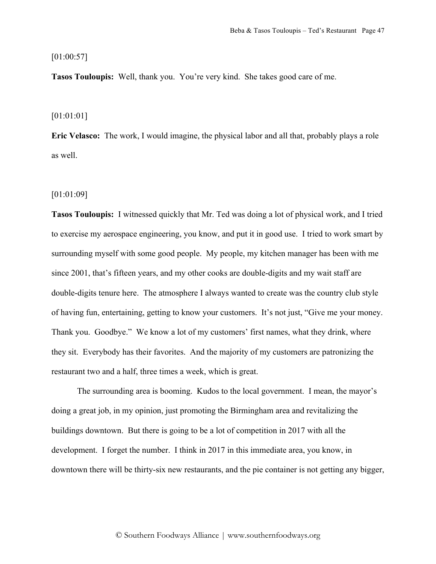### $[01:00:57]$

**Tasos Touloupis:** Well, thank you. You're very kind. She takes good care of me.

#### [01:01:01]

**Eric Velasco:** The work, I would imagine, the physical labor and all that, probably plays a role as well.

## [01:01:09]

**Tasos Touloupis:** I witnessed quickly that Mr. Ted was doing a lot of physical work, and I tried to exercise my aerospace engineering, you know, and put it in good use. I tried to work smart by surrounding myself with some good people. My people, my kitchen manager has been with me since 2001, that's fifteen years, and my other cooks are double-digits and my wait staff are double-digits tenure here. The atmosphere I always wanted to create was the country club style of having fun, entertaining, getting to know your customers. It's not just, "Give me your money. Thank you. Goodbye." We know a lot of my customers' first names, what they drink, where they sit. Everybody has their favorites. And the majority of my customers are patronizing the restaurant two and a half, three times a week, which is great.

The surrounding area is booming. Kudos to the local government. I mean, the mayor's doing a great job, in my opinion, just promoting the Birmingham area and revitalizing the buildings downtown. But there is going to be a lot of competition in 2017 with all the development. I forget the number. I think in 2017 in this immediate area, you know, in downtown there will be thirty-six new restaurants, and the pie container is not getting any bigger,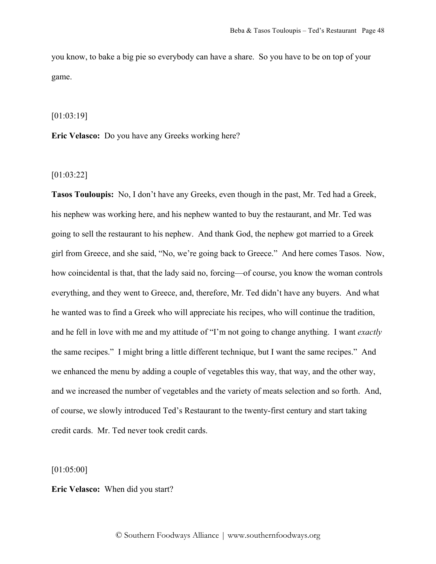you know, to bake a big pie so everybody can have a share. So you have to be on top of your game.

[01:03:19]

**Eric Velasco:** Do you have any Greeks working here?

[01:03:22]

**Tasos Touloupis:** No, I don't have any Greeks, even though in the past, Mr. Ted had a Greek, his nephew was working here, and his nephew wanted to buy the restaurant, and Mr. Ted was going to sell the restaurant to his nephew. And thank God, the nephew got married to a Greek girl from Greece, and she said, "No, we're going back to Greece." And here comes Tasos. Now, how coincidental is that, that the lady said no, forcing—of course, you know the woman controls everything, and they went to Greece, and, therefore, Mr. Ted didn't have any buyers. And what he wanted was to find a Greek who will appreciate his recipes, who will continue the tradition, and he fell in love with me and my attitude of "I'm not going to change anything. I want *exactly* the same recipes." I might bring a little different technique, but I want the same recipes." And we enhanced the menu by adding a couple of vegetables this way, that way, and the other way, and we increased the number of vegetables and the variety of meats selection and so forth. And, of course, we slowly introduced Ted's Restaurant to the twenty-first century and start taking credit cards. Mr. Ted never took credit cards.

[01:05:00]

**Eric Velasco:** When did you start?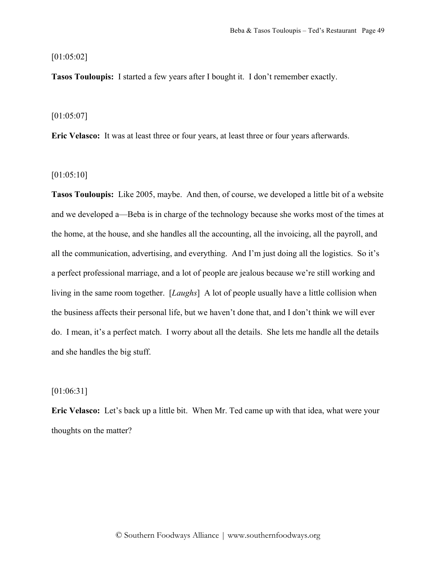#### [01:05:02]

**Tasos Touloupis:** I started a few years after I bought it. I don't remember exactly.

### [01:05:07]

**Eric Velasco:** It was at least three or four years, at least three or four years afterwards.

## [01:05:10]

**Tasos Touloupis:** Like 2005, maybe. And then, of course, we developed a little bit of a website and we developed a—Beba is in charge of the technology because she works most of the times at the home, at the house, and she handles all the accounting, all the invoicing, all the payroll, and all the communication, advertising, and everything. And I'm just doing all the logistics. So it's a perfect professional marriage, and a lot of people are jealous because we're still working and living in the same room together. [*Laughs*] A lot of people usually have a little collision when the business affects their personal life, but we haven't done that, and I don't think we will ever do. I mean, it's a perfect match. I worry about all the details. She lets me handle all the details and she handles the big stuff.

# [01:06:31]

**Eric Velasco:** Let's back up a little bit. When Mr. Ted came up with that idea, what were your thoughts on the matter?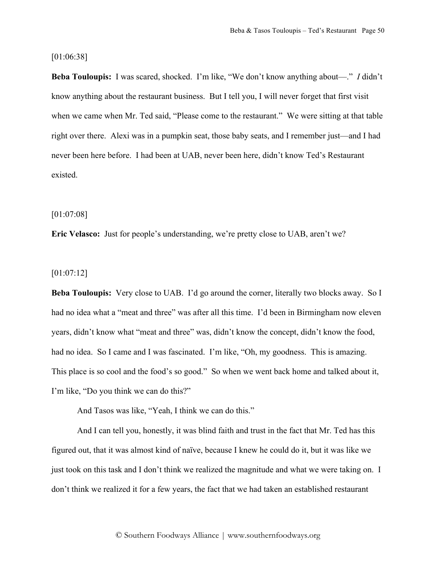### [01:06:38]

**Beba Touloupis:** I was scared, shocked. I'm like, "We don't know anything about—." *I* didn't know anything about the restaurant business. But I tell you, I will never forget that first visit when we came when Mr. Ted said, "Please come to the restaurant." We were sitting at that table right over there. Alexi was in a pumpkin seat, those baby seats, and I remember just—and I had never been here before. I had been at UAB, never been here, didn't know Ted's Restaurant existed.

#### [01:07:08]

**Eric Velasco:** Just for people's understanding, we're pretty close to UAB, aren't we?

# [01:07:12]

**Beba Touloupis:** Very close to UAB. I'd go around the corner, literally two blocks away. So I had no idea what a "meat and three" was after all this time. I'd been in Birmingham now eleven years, didn't know what "meat and three" was, didn't know the concept, didn't know the food, had no idea. So I came and I was fascinated. I'm like, "Oh, my goodness. This is amazing. This place is so cool and the food's so good." So when we went back home and talked about it, I'm like, "Do you think we can do this?"

And Tasos was like, "Yeah, I think we can do this."

And I can tell you, honestly, it was blind faith and trust in the fact that Mr. Ted has this figured out, that it was almost kind of naïve, because I knew he could do it, but it was like we just took on this task and I don't think we realized the magnitude and what we were taking on. I don't think we realized it for a few years, the fact that we had taken an established restaurant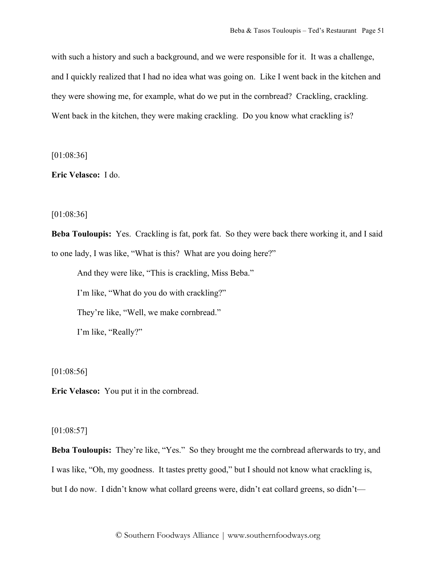with such a history and such a background, and we were responsible for it. It was a challenge, and I quickly realized that I had no idea what was going on. Like I went back in the kitchen and they were showing me, for example, what do we put in the cornbread? Crackling, crackling. Went back in the kitchen, they were making crackling. Do you know what crackling is?

[01:08:36]

**Eric Velasco:** I do.

[01:08:36]

**Beba Touloupis:** Yes. Crackling is fat, pork fat. So they were back there working it, and I said to one lady, I was like, "What is this? What are you doing here?"

And they were like, "This is crackling, Miss Beba." I'm like, "What do you do with crackling?" They're like, "Well, we make cornbread." I'm like, "Really?"

[01:08:56]

**Eric Velasco:** You put it in the cornbread.

# [01:08:57]

**Beba Touloupis:** They're like, "Yes." So they brought me the cornbread afterwards to try, and I was like, "Oh, my goodness. It tastes pretty good," but I should not know what crackling is, but I do now. I didn't know what collard greens were, didn't eat collard greens, so didn't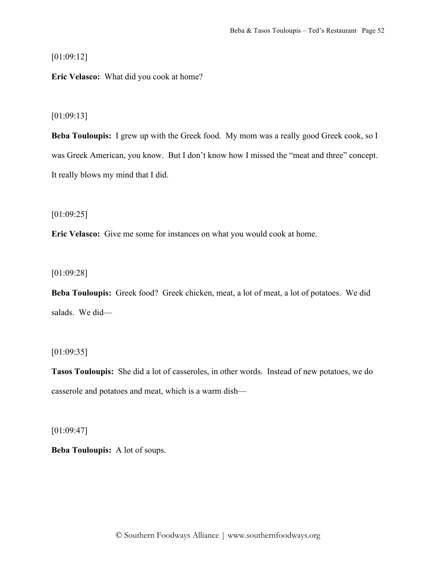[01:09:12]

**Eric Velasco:** What did you cook at home?

[01:09:13]

**Beba Touloupis:** I grew up with the Greek food. My mom was a really good Greek cook, so I was Greek American, you know. But I don't know how I missed the "meat and three" concept. It really blows my mind that I did.

[01:09:25]

**Eric Velasco:** Give me some for instances on what you would cook at home.

[01:09:28]

**Beba Touloupis:** Greek food? Greek chicken, meat, a lot of meat, a lot of potatoes. We did salads. We did—

 $[01:09:35]$ 

**Tasos Touloupis:** She did a lot of casseroles, in other words. Instead of new potatoes, we do casserole and potatoes and meat, which is a warm dish—

 $[01:09:47]$ 

**Beba Touloupis:** A lot of soups.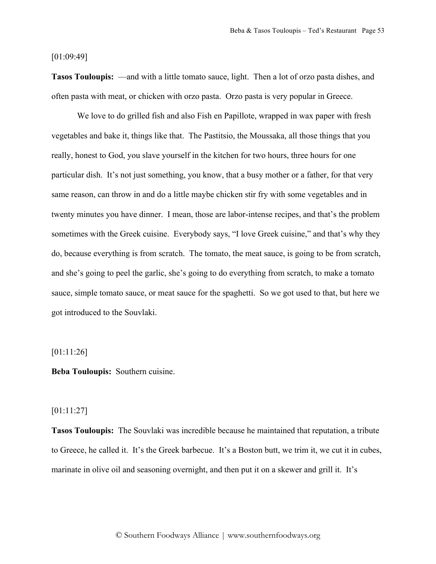### [01:09:49]

**Tasos Touloupis:** —and with a little tomato sauce, light. Then a lot of orzo pasta dishes, and often pasta with meat, or chicken with orzo pasta. Orzo pasta is very popular in Greece.

We love to do grilled fish and also Fish en Papillote, wrapped in wax paper with fresh vegetables and bake it, things like that. The Pastitsio, the Moussaka, all those things that you really, honest to God, you slave yourself in the kitchen for two hours, three hours for one particular dish. It's not just something, you know, that a busy mother or a father, for that very same reason, can throw in and do a little maybe chicken stir fry with some vegetables and in twenty minutes you have dinner. I mean, those are labor-intense recipes, and that's the problem sometimes with the Greek cuisine. Everybody says, "I love Greek cuisine," and that's why they do, because everything is from scratch. The tomato, the meat sauce, is going to be from scratch, and she's going to peel the garlic, she's going to do everything from scratch, to make a tomato sauce, simple tomato sauce, or meat sauce for the spaghetti. So we got used to that, but here we got introduced to the Souvlaki.

## [01:11:26]

**Beba Touloupis:** Southern cuisine.

# [01:11:27]

**Tasos Touloupis:** The Souvlaki was incredible because he maintained that reputation, a tribute to Greece, he called it. It's the Greek barbecue. It's a Boston butt, we trim it, we cut it in cubes, marinate in olive oil and seasoning overnight, and then put it on a skewer and grill it. It's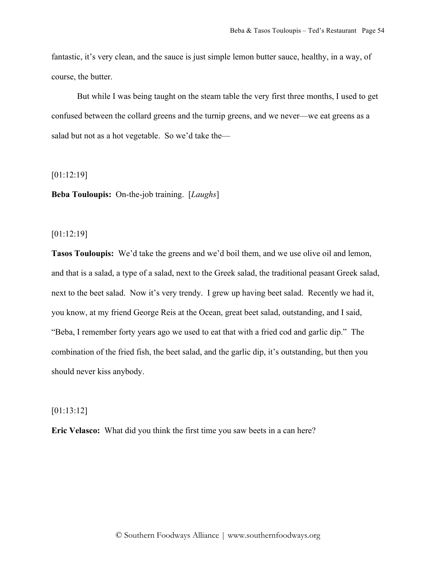fantastic, it's very clean, and the sauce is just simple lemon butter sauce, healthy, in a way, of course, the butter.

But while I was being taught on the steam table the very first three months, I used to get confused between the collard greens and the turnip greens, and we never—we eat greens as a salad but not as a hot vegetable. So we'd take the—

[01:12:19]

**Beba Touloupis:** On-the-job training. [*Laughs*]

[01:12:19]

**Tasos Touloupis:** We'd take the greens and we'd boil them, and we use olive oil and lemon, and that is a salad, a type of a salad, next to the Greek salad, the traditional peasant Greek salad, next to the beet salad. Now it's very trendy. I grew up having beet salad. Recently we had it, you know, at my friend George Reis at the Ocean, great beet salad, outstanding, and I said, "Beba, I remember forty years ago we used to eat that with a fried cod and garlic dip." The combination of the fried fish, the beet salad, and the garlic dip, it's outstanding, but then you should never kiss anybody.

[01:13:12]

**Eric Velasco:** What did you think the first time you saw beets in a can here?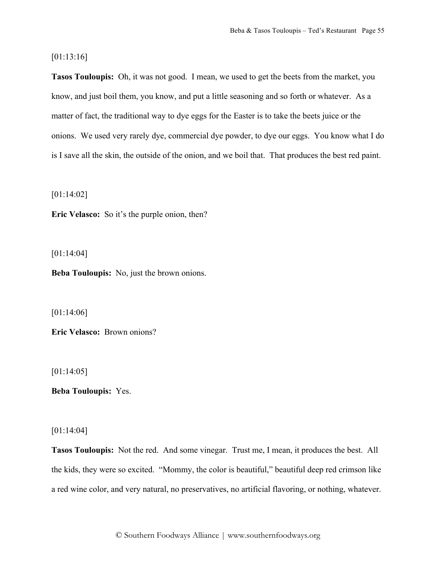# [01:13:16]

**Tasos Touloupis:** Oh, it was not good. I mean, we used to get the beets from the market, you know, and just boil them, you know, and put a little seasoning and so forth or whatever. As a matter of fact, the traditional way to dye eggs for the Easter is to take the beets juice or the onions. We used very rarely dye, commercial dye powder, to dye our eggs. You know what I do is I save all the skin, the outside of the onion, and we boil that. That produces the best red paint.

[01:14:02]

**Eric Velasco:** So it's the purple onion, then?

[01:14:04]

**Beba Touloupis:** No, just the brown onions.

[01:14:06]

**Eric Velasco:** Brown onions?

[01:14:05]

**Beba Touloupis:** Yes.

[01:14:04]

**Tasos Touloupis:** Not the red. And some vinegar. Trust me, I mean, it produces the best. All the kids, they were so excited. "Mommy, the color is beautiful," beautiful deep red crimson like a red wine color, and very natural, no preservatives, no artificial flavoring, or nothing, whatever.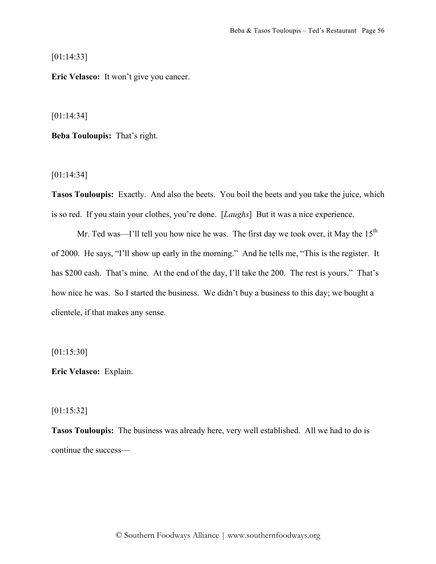[01:14:33]

**Eric Velasco:** It won't give you cancer.

[01:14:34]

**Beba Touloupis:** That's right.

[01:14:34]

**Tasos Touloupis:** Exactly. And also the beets. You boil the beets and you take the juice, which is so red. If you stain your clothes, you're done. [*Laughs*] But it was a nice experience.

Mr. Ted was—I'll tell you how nice he was. The first day we took over, it May the  $15<sup>th</sup>$ of 2000. He says, "I'll show up early in the morning." And he tells me, "This is the register. It has \$200 cash. That's mine. At the end of the day, I'll take the 200. The rest is yours." That's how nice he was. So I started the business. We didn't buy a business to this day; we bought a clientele, if that makes any sense.

[01:15:30]

**Eric Velasco:** Explain.

[01:15:32]

**Tasos Touloupis:** The business was already here, very well established. All we had to do is continue the success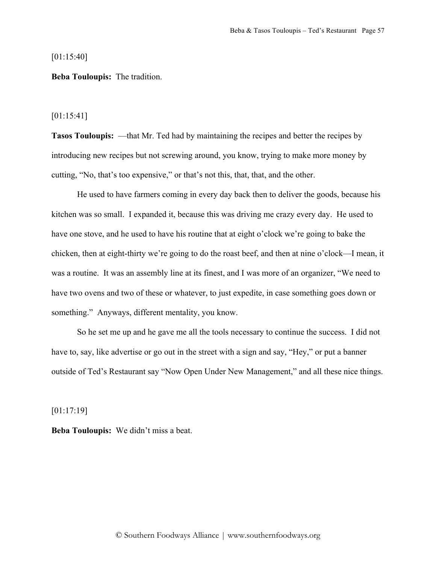[01:15:40]

**Beba Touloupis:** The tradition.

[01:15:41]

**Tasos Touloupis:** —that Mr. Ted had by maintaining the recipes and better the recipes by introducing new recipes but not screwing around, you know, trying to make more money by cutting, "No, that's too expensive," or that's not this, that, that, and the other.

He used to have farmers coming in every day back then to deliver the goods, because his kitchen was so small. I expanded it, because this was driving me crazy every day. He used to have one stove, and he used to have his routine that at eight o'clock we're going to bake the chicken, then at eight-thirty we're going to do the roast beef, and then at nine o'clock—I mean, it was a routine. It was an assembly line at its finest, and I was more of an organizer, "We need to have two ovens and two of these or whatever, to just expedite, in case something goes down or something." Anyways, different mentality, you know.

So he set me up and he gave me all the tools necessary to continue the success. I did not have to, say, like advertise or go out in the street with a sign and say, "Hey," or put a banner outside of Ted's Restaurant say "Now Open Under New Management," and all these nice things.

[01:17:19]

**Beba Touloupis:** We didn't miss a beat.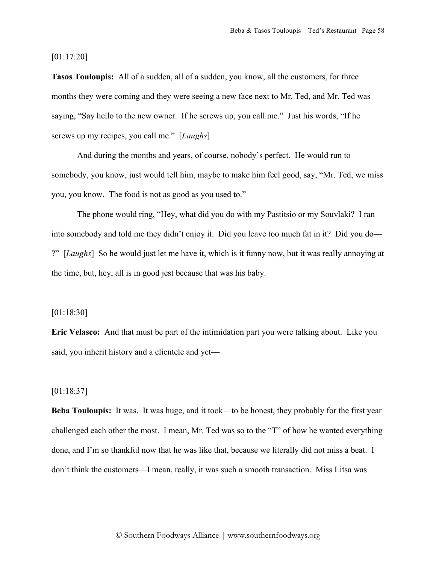[01:17:20]

**Tasos Touloupis:** All of a sudden, all of a sudden, you know, all the customers, for three months they were coming and they were seeing a new face next to Mr. Ted, and Mr. Ted was saying, "Say hello to the new owner. If he screws up, you call me." Just his words, "If he screws up my recipes, you call me." [*Laughs*]

And during the months and years, of course, nobody's perfect. He would run to somebody, you know, just would tell him, maybe to make him feel good, say, "Mr. Ted, we miss you, you know. The food is not as good as you used to."

The phone would ring, "Hey, what did you do with my Pastitsio or my Souvlaki? I ran into somebody and told me they didn't enjoy it. Did you leave too much fat in it? Did you do— ?" [*Laughs*] So he would just let me have it, which is it funny now, but it was really annoying at the time, but, hey, all is in good jest because that was his baby.

#### [01:18:30]

**Eric Velasco:** And that must be part of the intimidation part you were talking about. Like you said, you inherit history and a clientele and yet—

# [01:18:37]

**Beba Touloupis:** It was. It was huge, and it took—to be honest, they probably for the first year challenged each other the most. I mean, Mr. Ted was so to the "T" of how he wanted everything done, and I'm so thankful now that he was like that, because we literally did not miss a beat. I don't think the customers—I mean, really, it was such a smooth transaction. Miss Litsa was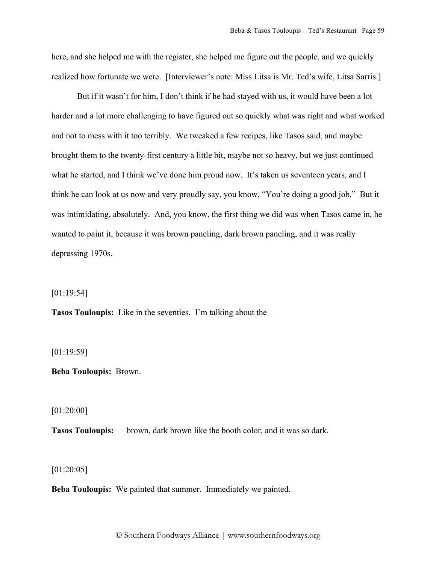here, and she helped me with the register, she helped me figure out the people, and we quickly realized how fortunate we were. [Interviewer's note: Miss Litsa is Mr. Ted's wife, Litsa Sarris.]

But if it wasn't for him, I don't think if he had stayed with us, it would have been a lot harder and a lot more challenging to have figured out so quickly what was right and what worked and not to mess with it too terribly. We tweaked a few recipes, like Tasos said, and maybe brought them to the twenty-first century a little bit, maybe not so heavy, but we just continued what he started, and I think we've done him proud now. It's taken us seventeen years, and I think he can look at us now and very proudly say, you know, "You're doing a good job." But it was intimidating, absolutely. And, you know, the first thing we did was when Tasos came in, he wanted to paint it, because it was brown paneling, dark brown paneling, and it was really depressing 1970s.

[01:19:54]

**Tasos Touloupis:** Like in the seventies. I'm talking about the—

[01:19:59]

**Beba Touloupis:** Brown.

[01:20:00]

**Tasos Touloupis:** —brown, dark brown like the booth color, and it was so dark.

[01:20:05]

**Beba Touloupis:** We painted that summer. Immediately we painted.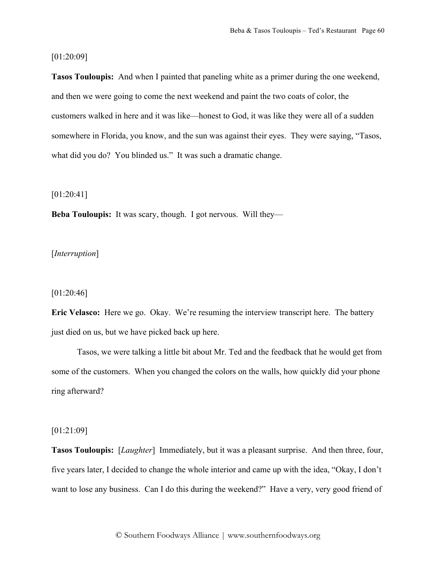## [01:20:09]

**Tasos Touloupis:** And when I painted that paneling white as a primer during the one weekend, and then we were going to come the next weekend and paint the two coats of color, the customers walked in here and it was like—honest to God, it was like they were all of a sudden somewhere in Florida, you know, and the sun was against their eyes. They were saying, "Tasos, what did you do? You blinded us." It was such a dramatic change.

# [01:20:41]

**Beba Touloupis:** It was scary, though. I got nervous. Will they—

# [*Interruption*]

### [01:20:46]

**Eric Velasco:** Here we go. Okay. We're resuming the interview transcript here. The battery just died on us, but we have picked back up here.

Tasos, we were talking a little bit about Mr. Ted and the feedback that he would get from some of the customers. When you changed the colors on the walls, how quickly did your phone ring afterward?

# [01:21:09]

**Tasos Touloupis:** [*Laughter*] Immediately, but it was a pleasant surprise. And then three, four, five years later, I decided to change the whole interior and came up with the idea, "Okay, I don't want to lose any business. Can I do this during the weekend?" Have a very, very good friend of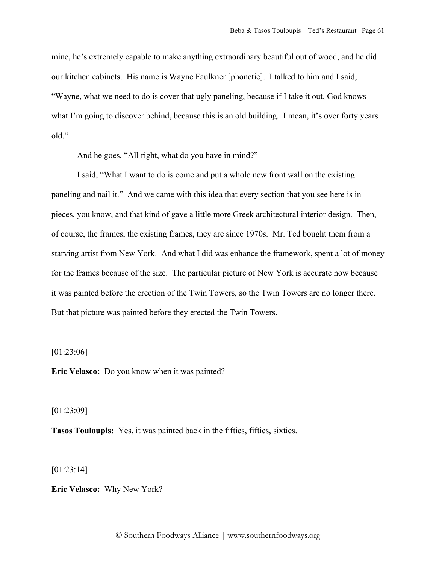mine, he's extremely capable to make anything extraordinary beautiful out of wood, and he did our kitchen cabinets. His name is Wayne Faulkner [phonetic]. I talked to him and I said, "Wayne, what we need to do is cover that ugly paneling, because if I take it out, God knows what I'm going to discover behind, because this is an old building. I mean, it's over forty years old"

And he goes, "All right, what do you have in mind?"

I said, "What I want to do is come and put a whole new front wall on the existing paneling and nail it." And we came with this idea that every section that you see here is in pieces, you know, and that kind of gave a little more Greek architectural interior design. Then, of course, the frames, the existing frames, they are since 1970s. Mr. Ted bought them from a starving artist from New York. And what I did was enhance the framework, spent a lot of money for the frames because of the size. The particular picture of New York is accurate now because it was painted before the erection of the Twin Towers, so the Twin Towers are no longer there. But that picture was painted before they erected the Twin Towers.

[01:23:06]

**Eric Velasco:** Do you know when it was painted?

[01:23:09]

**Tasos Touloupis:** Yes, it was painted back in the fifties, fifties, sixties.

[01:23:14]

**Eric Velasco:** Why New York?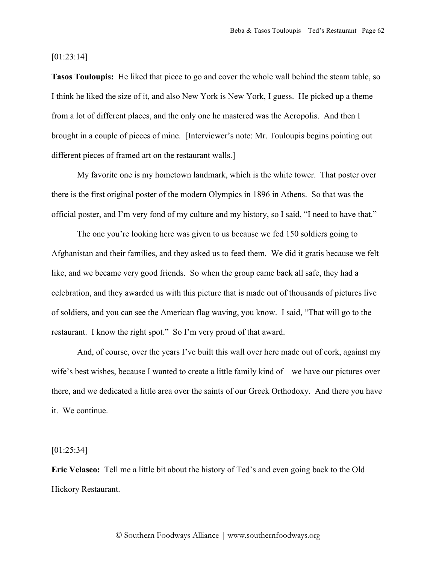[01:23:14]

**Tasos Touloupis:** He liked that piece to go and cover the whole wall behind the steam table, so I think he liked the size of it, and also New York is New York, I guess. He picked up a theme from a lot of different places, and the only one he mastered was the Acropolis. And then I brought in a couple of pieces of mine. [Interviewer's note: Mr. Touloupis begins pointing out different pieces of framed art on the restaurant walls.]

My favorite one is my hometown landmark, which is the white tower. That poster over there is the first original poster of the modern Olympics in 1896 in Athens. So that was the official poster, and I'm very fond of my culture and my history, so I said, "I need to have that."

The one you're looking here was given to us because we fed 150 soldiers going to Afghanistan and their families, and they asked us to feed them. We did it gratis because we felt like, and we became very good friends. So when the group came back all safe, they had a celebration, and they awarded us with this picture that is made out of thousands of pictures live of soldiers, and you can see the American flag waving, you know. I said, "That will go to the restaurant. I know the right spot." So I'm very proud of that award.

And, of course, over the years I've built this wall over here made out of cork, against my wife's best wishes, because I wanted to create a little family kind of—we have our pictures over there, and we dedicated a little area over the saints of our Greek Orthodoxy. And there you have it. We continue.

[01:25:34]

**Eric Velasco:** Tell me a little bit about the history of Ted's and even going back to the Old Hickory Restaurant.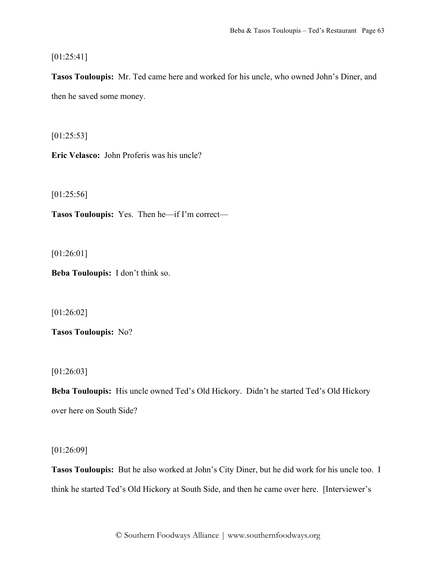$[01:25:41]$ 

**Tasos Touloupis:** Mr. Ted came here and worked for his uncle, who owned John's Diner, and then he saved some money.

 $[01:25:53]$ 

**Eric Velasco:** John Proferis was his uncle?

[01:25:56]

**Tasos Touloupis:** Yes. Then he—if I'm correct—

[01:26:01]

**Beba Touloupis:** I don't think so.

[01:26:02]

**Tasos Touloupis:** No?

[01:26:03]

**Beba Touloupis:** His uncle owned Ted's Old Hickory. Didn't he started Ted's Old Hickory over here on South Side?

[01:26:09]

**Tasos Touloupis:** But he also worked at John's City Diner, but he did work for his uncle too. I think he started Ted's Old Hickory at South Side, and then he came over here. [Interviewer's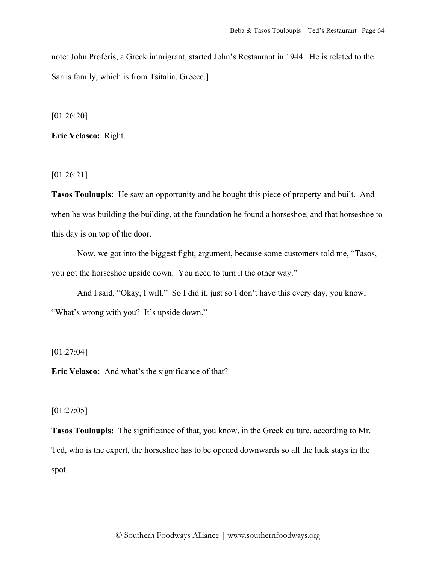note: John Proferis, a Greek immigrant, started John's Restaurant in 1944. He is related to the Sarris family, which is from Tsitalia, Greece.]

[01:26:20]

**Eric Velasco:** Right.

[01:26:21]

**Tasos Touloupis:** He saw an opportunity and he bought this piece of property and built. And when he was building the building, at the foundation he found a horseshoe, and that horseshoe to this day is on top of the door.

Now, we got into the biggest fight, argument, because some customers told me, "Tasos, you got the horseshoe upside down. You need to turn it the other way."

And I said, "Okay, I will." So I did it, just so I don't have this every day, you know, "What's wrong with you? It's upside down."

[01:27:04]

**Eric Velasco:** And what's the significance of that?

# [01:27:05]

**Tasos Touloupis:** The significance of that, you know, in the Greek culture, according to Mr. Ted, who is the expert, the horseshoe has to be opened downwards so all the luck stays in the spot.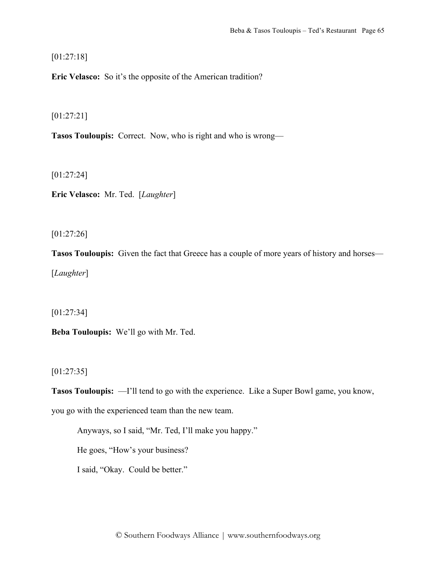[01:27:18]

**Eric Velasco:** So it's the opposite of the American tradition?

[01:27:21]

**Tasos Touloupis:** Correct. Now, who is right and who is wrong—

[01:27:24]

**Eric Velasco:** Mr. Ted. [*Laughter*]

[01:27:26]

**Tasos Touloupis:** Given the fact that Greece has a couple of more years of history and horses— [*Laughter*]

[01:27:34]

**Beba Touloupis:** We'll go with Mr. Ted.

[01:27:35]

**Tasos Touloupis:** —I'll tend to go with the experience. Like a Super Bowl game, you know, you go with the experienced team than the new team.

Anyways, so I said, "Mr. Ted, I'll make you happy."

He goes, "How's your business?

I said, "Okay. Could be better."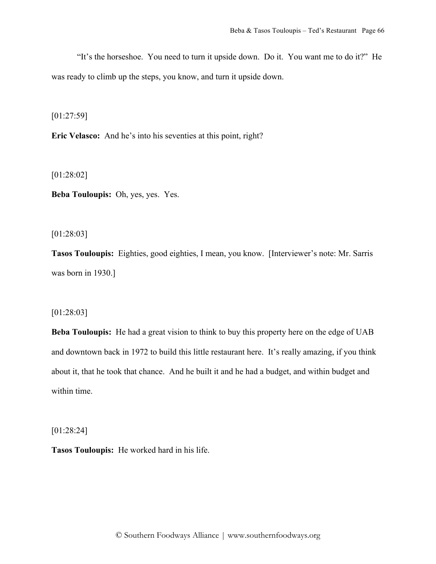"It's the horseshoe. You need to turn it upside down. Do it. You want me to do it?" He was ready to climb up the steps, you know, and turn it upside down.

[01:27:59]

**Eric Velasco:** And he's into his seventies at this point, right?

[01:28:02]

**Beba Touloupis:** Oh, yes, yes. Yes.

[01:28:03]

**Tasos Touloupis:** Eighties, good eighties, I mean, you know. [Interviewer's note: Mr. Sarris was born in 1930.]

# [01:28:03]

**Beba Touloupis:** He had a great vision to think to buy this property here on the edge of UAB and downtown back in 1972 to build this little restaurant here. It's really amazing, if you think about it, that he took that chance. And he built it and he had a budget, and within budget and within time.

[01:28:24]

**Tasos Touloupis:** He worked hard in his life.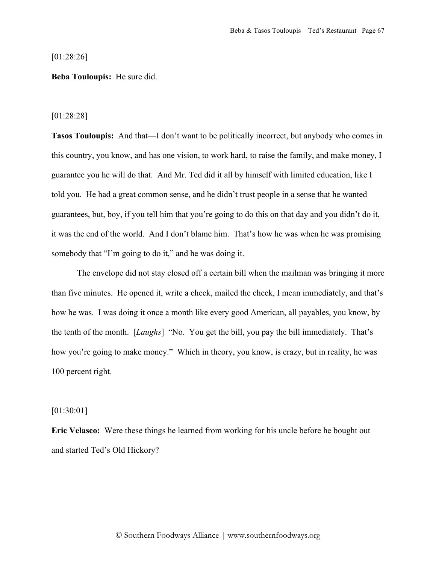[01:28:26]

## **Beba Touloupis:** He sure did.

#### [01:28:28]

**Tasos Touloupis:** And that—I don't want to be politically incorrect, but anybody who comes in this country, you know, and has one vision, to work hard, to raise the family, and make money, I guarantee you he will do that. And Mr. Ted did it all by himself with limited education, like I told you. He had a great common sense, and he didn't trust people in a sense that he wanted guarantees, but, boy, if you tell him that you're going to do this on that day and you didn't do it, it was the end of the world. And I don't blame him. That's how he was when he was promising somebody that "I'm going to do it," and he was doing it.

The envelope did not stay closed off a certain bill when the mailman was bringing it more than five minutes. He opened it, write a check, mailed the check, I mean immediately, and that's how he was. I was doing it once a month like every good American, all payables, you know, by the tenth of the month. [*Laughs*] "No. You get the bill, you pay the bill immediately. That's how you're going to make money." Which in theory, you know, is crazy, but in reality, he was 100 percent right.

### [01:30:01]

**Eric Velasco:** Were these things he learned from working for his uncle before he bought out and started Ted's Old Hickory?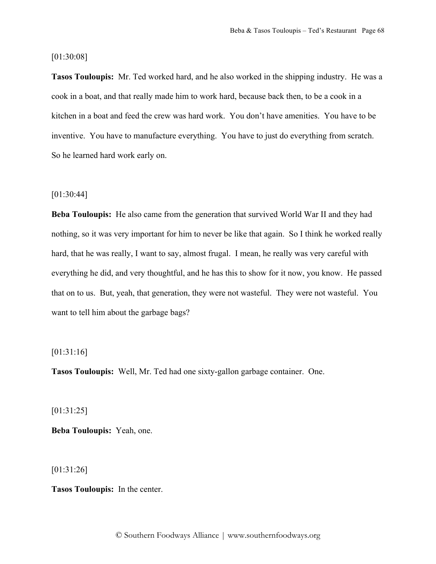## [01:30:08]

**Tasos Touloupis:** Mr. Ted worked hard, and he also worked in the shipping industry. He was a cook in a boat, and that really made him to work hard, because back then, to be a cook in a kitchen in a boat and feed the crew was hard work. You don't have amenities. You have to be inventive. You have to manufacture everything. You have to just do everything from scratch. So he learned hard work early on.

## [01:30:44]

**Beba Touloupis:** He also came from the generation that survived World War II and they had nothing, so it was very important for him to never be like that again. So I think he worked really hard, that he was really, I want to say, almost frugal. I mean, he really was very careful with everything he did, and very thoughtful, and he has this to show for it now, you know. He passed that on to us. But, yeah, that generation, they were not wasteful. They were not wasteful. You want to tell him about the garbage bags?

## [01:31:16]

**Tasos Touloupis:** Well, Mr. Ted had one sixty-gallon garbage container. One.

[01:31:25]

**Beba Touloupis:** Yeah, one.

[01:31:26]

**Tasos Touloupis:** In the center.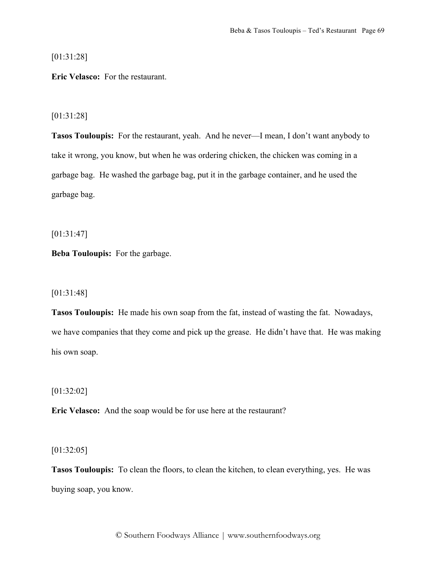[01:31:28]

**Eric Velasco:** For the restaurant.

## [01:31:28]

**Tasos Touloupis:** For the restaurant, yeah. And he never—I mean, I don't want anybody to take it wrong, you know, but when he was ordering chicken, the chicken was coming in a garbage bag. He washed the garbage bag, put it in the garbage container, and he used the garbage bag.

[01:31:47]

**Beba Touloupis:** For the garbage.

# [01:31:48]

**Tasos Touloupis:** He made his own soap from the fat, instead of wasting the fat. Nowadays, we have companies that they come and pick up the grease. He didn't have that. He was making his own soap.

[01:32:02]

**Eric Velasco:** And the soap would be for use here at the restaurant?

[01:32:05]

**Tasos Touloupis:** To clean the floors, to clean the kitchen, to clean everything, yes. He was buying soap, you know.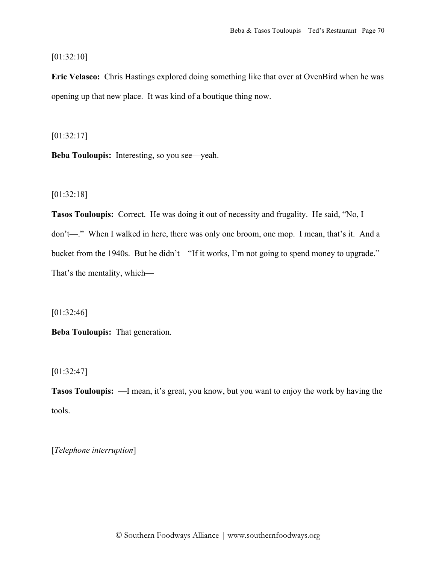# [01:32:10]

**Eric Velasco:** Chris Hastings explored doing something like that over at OvenBird when he was opening up that new place. It was kind of a boutique thing now.

[01:32:17]

**Beba Touloupis:** Interesting, so you see—yeah.

# [01:32:18]

**Tasos Touloupis:** Correct. He was doing it out of necessity and frugality. He said, "No, I don't—." When I walked in here, there was only one broom, one mop. I mean, that's it. And a bucket from the 1940s. But he didn't—"If it works, I'm not going to spend money to upgrade." That's the mentality, which—

# [01:32:46]

**Beba Touloupis:** That generation.

# [01:32:47]

**Tasos Touloupis:** —I mean, it's great, you know, but you want to enjoy the work by having the tools.

[*Telephone interruption*]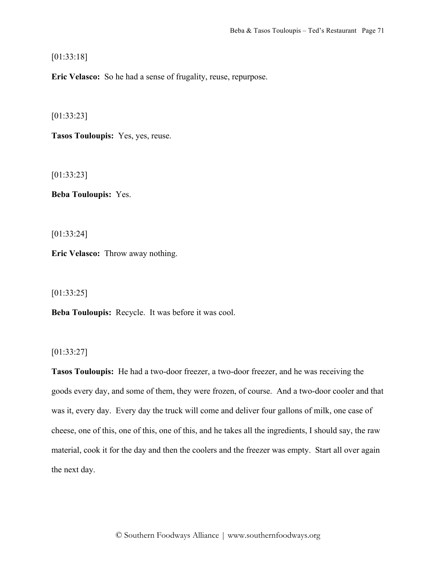[01:33:18]

**Eric Velasco:** So he had a sense of frugality, reuse, repurpose.

[01:33:23]

**Tasos Touloupis:** Yes, yes, reuse.

[01:33:23]

**Beba Touloupis:** Yes.

[01:33:24]

**Eric Velasco:** Throw away nothing.

[01:33:25]

**Beba Touloupis:** Recycle. It was before it was cool.

[01:33:27]

**Tasos Touloupis:** He had a two-door freezer, a two-door freezer, and he was receiving the goods every day, and some of them, they were frozen, of course. And a two-door cooler and that was it, every day. Every day the truck will come and deliver four gallons of milk, one case of cheese, one of this, one of this, one of this, and he takes all the ingredients, I should say, the raw material, cook it for the day and then the coolers and the freezer was empty. Start all over again the next day.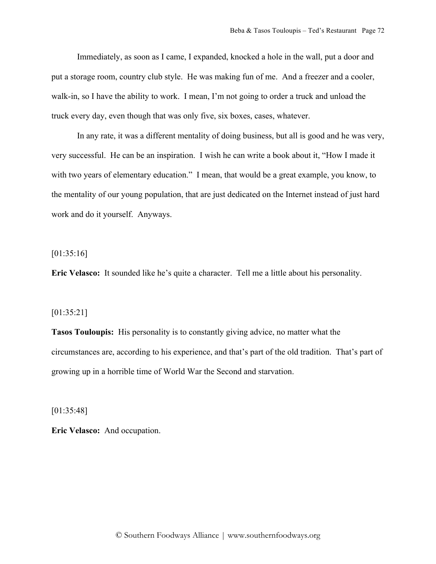Immediately, as soon as I came, I expanded, knocked a hole in the wall, put a door and put a storage room, country club style. He was making fun of me. And a freezer and a cooler, walk-in, so I have the ability to work. I mean, I'm not going to order a truck and unload the truck every day, even though that was only five, six boxes, cases, whatever.

In any rate, it was a different mentality of doing business, but all is good and he was very, very successful. He can be an inspiration. I wish he can write a book about it, "How I made it with two years of elementary education." I mean, that would be a great example, you know, to the mentality of our young population, that are just dedicated on the Internet instead of just hard work and do it yourself. Anyways.

[01:35:16]

**Eric Velasco:** It sounded like he's quite a character. Tell me a little about his personality.

#### [01:35:21]

**Tasos Touloupis:** His personality is to constantly giving advice, no matter what the circumstances are, according to his experience, and that's part of the old tradition. That's part of growing up in a horrible time of World War the Second and starvation.

[01:35:48]

**Eric Velasco:** And occupation.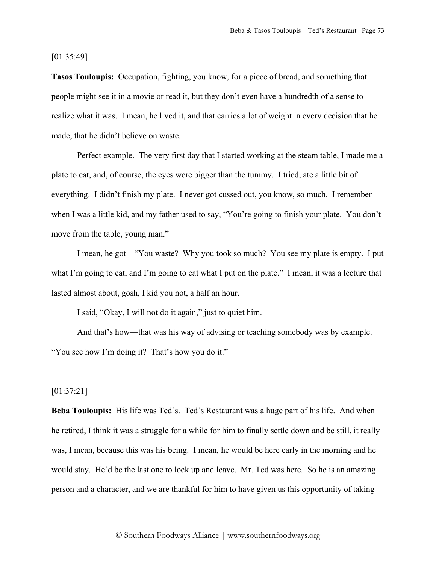[01:35:49]

**Tasos Touloupis:** Occupation, fighting, you know, for a piece of bread, and something that people might see it in a movie or read it, but they don't even have a hundredth of a sense to realize what it was. I mean, he lived it, and that carries a lot of weight in every decision that he made, that he didn't believe on waste.

Perfect example. The very first day that I started working at the steam table, I made me a plate to eat, and, of course, the eyes were bigger than the tummy. I tried, ate a little bit of everything. I didn't finish my plate. I never got cussed out, you know, so much. I remember when I was a little kid, and my father used to say, "You're going to finish your plate. You don't move from the table, young man."

I mean, he got—"You waste? Why you took so much? You see my plate is empty. I put what I'm going to eat, and I'm going to eat what I put on the plate." I mean, it was a lecture that lasted almost about, gosh, I kid you not, a half an hour.

I said, "Okay, I will not do it again," just to quiet him.

And that's how—that was his way of advising or teaching somebody was by example. "You see how I'm doing it? That's how you do it."

# [01:37:21]

**Beba Touloupis:** His life was Ted's. Ted's Restaurant was a huge part of his life. And when he retired, I think it was a struggle for a while for him to finally settle down and be still, it really was, I mean, because this was his being. I mean, he would be here early in the morning and he would stay. He'd be the last one to lock up and leave. Mr. Ted was here. So he is an amazing person and a character, and we are thankful for him to have given us this opportunity of taking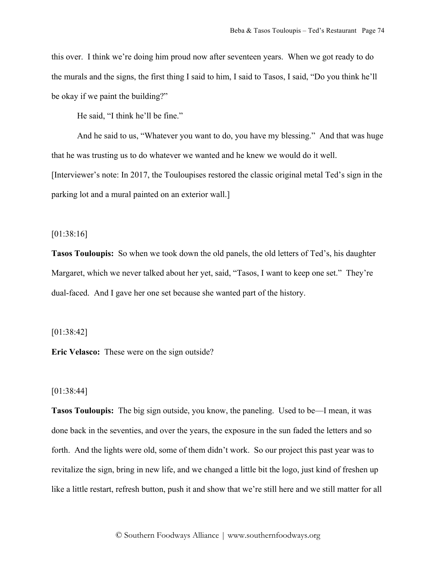this over. I think we're doing him proud now after seventeen years. When we got ready to do the murals and the signs, the first thing I said to him, I said to Tasos, I said, "Do you think he'll be okay if we paint the building?"

He said, "I think he'll be fine."

And he said to us, "Whatever you want to do, you have my blessing." And that was huge that he was trusting us to do whatever we wanted and he knew we would do it well. [Interviewer's note: In 2017, the Touloupises restored the classic original metal Ted's sign in the parking lot and a mural painted on an exterior wall.]

[01:38:16]

**Tasos Touloupis:** So when we took down the old panels, the old letters of Ted's, his daughter Margaret, which we never talked about her yet, said, "Tasos, I want to keep one set." They're dual-faced. And I gave her one set because she wanted part of the history.

### [01:38:42]

**Eric Velasco:** These were on the sign outside?

## [01:38:44]

**Tasos Touloupis:** The big sign outside, you know, the paneling. Used to be—I mean, it was done back in the seventies, and over the years, the exposure in the sun faded the letters and so forth. And the lights were old, some of them didn't work. So our project this past year was to revitalize the sign, bring in new life, and we changed a little bit the logo, just kind of freshen up like a little restart, refresh button, push it and show that we're still here and we still matter for all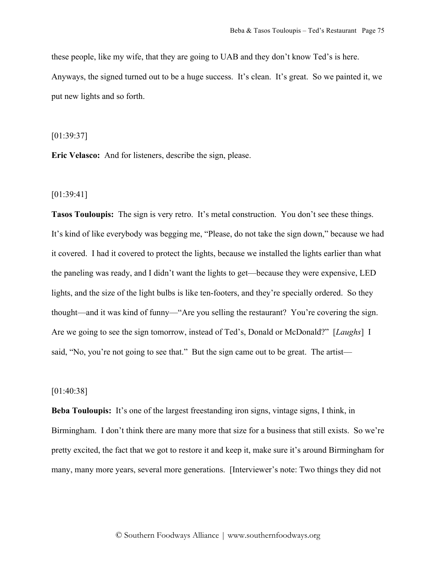these people, like my wife, that they are going to UAB and they don't know Ted's is here. Anyways, the signed turned out to be a huge success. It's clean. It's great. So we painted it, we put new lights and so forth.

[01:39:37]

**Eric Velasco:** And for listeners, describe the sign, please.

[01:39:41]

**Tasos Touloupis:** The sign is very retro. It's metal construction. You don't see these things. It's kind of like everybody was begging me, "Please, do not take the sign down," because we had it covered. I had it covered to protect the lights, because we installed the lights earlier than what the paneling was ready, and I didn't want the lights to get—because they were expensive, LED lights, and the size of the light bulbs is like ten-footers, and they're specially ordered. So they thought—and it was kind of funny—"Are you selling the restaurant? You're covering the sign. Are we going to see the sign tomorrow, instead of Ted's, Donald or McDonald?" [*Laughs*] I said, "No, you're not going to see that." But the sign came out to be great. The artist—

# [01:40:38]

**Beba Touloupis:** It's one of the largest freestanding iron signs, vintage signs, I think, in Birmingham. I don't think there are many more that size for a business that still exists. So we're pretty excited, the fact that we got to restore it and keep it, make sure it's around Birmingham for many, many more years, several more generations. [Interviewer's note: Two things they did not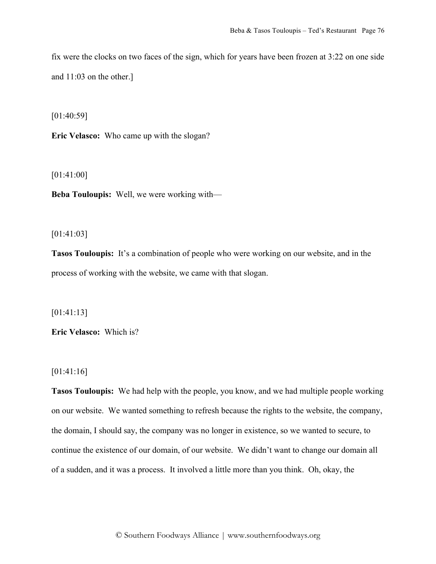fix were the clocks on two faces of the sign, which for years have been frozen at 3:22 on one side and 11:03 on the other.]

[01:40:59]

**Eric Velasco:** Who came up with the slogan?

[01:41:00]

**Beba Touloupis:** Well, we were working with—

[01:41:03]

**Tasos Touloupis:** It's a combination of people who were working on our website, and in the process of working with the website, we came with that slogan.

[01:41:13]

**Eric Velasco:** Which is?

[01:41:16]

**Tasos Touloupis:** We had help with the people, you know, and we had multiple people working on our website. We wanted something to refresh because the rights to the website, the company, the domain, I should say, the company was no longer in existence, so we wanted to secure, to continue the existence of our domain, of our website. We didn't want to change our domain all of a sudden, and it was a process. It involved a little more than you think. Oh, okay, the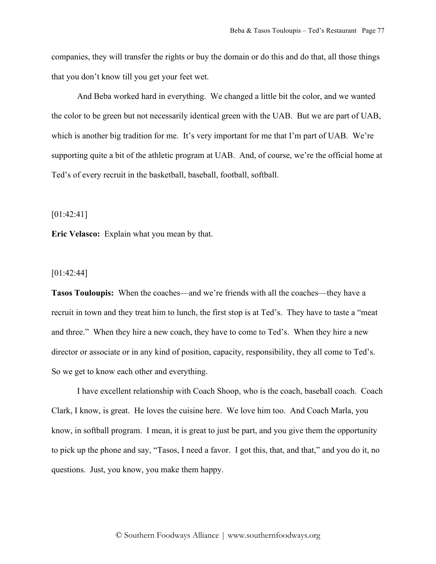companies, they will transfer the rights or buy the domain or do this and do that, all those things that you don't know till you get your feet wet.

And Beba worked hard in everything. We changed a little bit the color, and we wanted the color to be green but not necessarily identical green with the UAB. But we are part of UAB, which is another big tradition for me. It's very important for me that I'm part of UAB. We're supporting quite a bit of the athletic program at UAB. And, of course, we're the official home at Ted's of every recruit in the basketball, baseball, football, softball.

[01:42:41]

**Eric Velasco:** Explain what you mean by that.

## [01:42:44]

**Tasos Touloupis:** When the coaches—and we're friends with all the coaches—they have a recruit in town and they treat him to lunch, the first stop is at Ted's. They have to taste a "meat and three." When they hire a new coach, they have to come to Ted's. When they hire a new director or associate or in any kind of position, capacity, responsibility, they all come to Ted's. So we get to know each other and everything.

I have excellent relationship with Coach Shoop, who is the coach, baseball coach. Coach Clark, I know, is great. He loves the cuisine here. We love him too. And Coach Marla, you know, in softball program. I mean, it is great to just be part, and you give them the opportunity to pick up the phone and say, "Tasos, I need a favor. I got this, that, and that," and you do it, no questions. Just, you know, you make them happy.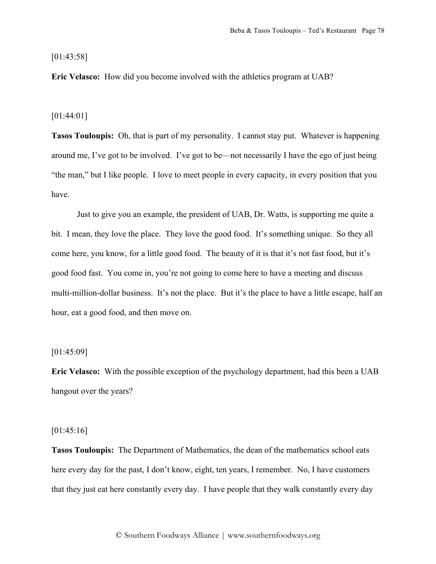[01:43:58]

**Eric Velasco:** How did you become involved with the athletics program at UAB?

[01:44:01]

**Tasos Touloupis:** Oh, that is part of my personality. I cannot stay put. Whatever is happening around me, I've got to be involved. I've got to be—not necessarily I have the ego of just being "the man," but I like people. I love to meet people in every capacity, in every position that you have.

Just to give you an example, the president of UAB, Dr. Watts, is supporting me quite a bit. I mean, they love the place. They love the good food. It's something unique. So they all come here, you know, for a little good food. The beauty of it is that it's not fast food, but it's good food fast. You come in, you're not going to come here to have a meeting and discuss multi-million-dollar business. It's not the place. But it's the place to have a little escape, half an hour, eat a good food, and then move on.

## [01:45:09]

**Eric Velasco:** With the possible exception of the psychology department, had this been a UAB hangout over the years?

## [01:45:16]

**Tasos Touloupis:** The Department of Mathematics, the dean of the mathematics school eats here every day for the past, I don't know, eight, ten years, I remember. No, I have customers that they just eat here constantly every day. I have people that they walk constantly every day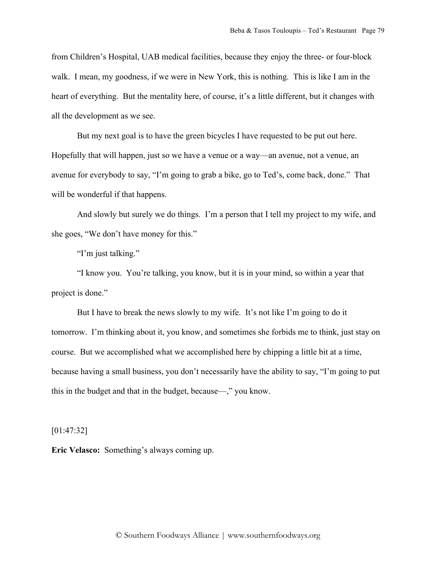from Children's Hospital, UAB medical facilities, because they enjoy the three- or four-block walk. I mean, my goodness, if we were in New York, this is nothing. This is like I am in the heart of everything. But the mentality here, of course, it's a little different, but it changes with all the development as we see.

But my next goal is to have the green bicycles I have requested to be put out here. Hopefully that will happen, just so we have a venue or a way—an avenue, not a venue, an avenue for everybody to say, "I'm going to grab a bike, go to Ted's, come back, done." That will be wonderful if that happens.

And slowly but surely we do things. I'm a person that I tell my project to my wife, and she goes, "We don't have money for this."

"I'm just talking."

"I know you. You're talking, you know, but it is in your mind, so within a year that project is done."

But I have to break the news slowly to my wife. It's not like I'm going to do it tomorrow. I'm thinking about it, you know, and sometimes she forbids me to think, just stay on course. But we accomplished what we accomplished here by chipping a little bit at a time, because having a small business, you don't necessarily have the ability to say, "I'm going to put this in the budget and that in the budget, because—," you know.

[01:47:32]

**Eric Velasco:** Something's always coming up.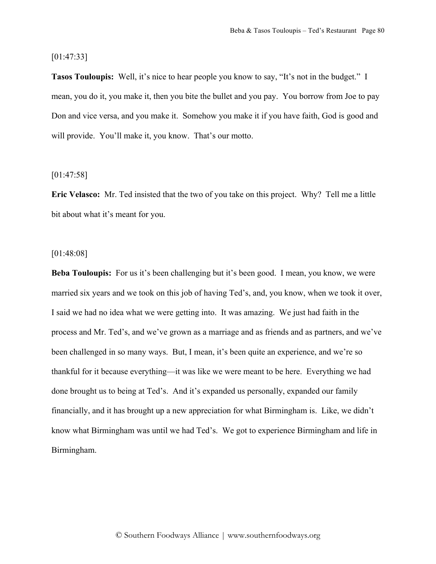[01:47:33]

**Tasos Touloupis:** Well, it's nice to hear people you know to say, "It's not in the budget." I mean, you do it, you make it, then you bite the bullet and you pay. You borrow from Joe to pay Don and vice versa, and you make it. Somehow you make it if you have faith, God is good and will provide. You'll make it, you know. That's our motto.

#### [01:47:58]

**Eric Velasco:** Mr. Ted insisted that the two of you take on this project. Why? Tell me a little bit about what it's meant for you.

## [01:48:08]

**Beba Touloupis:** For us it's been challenging but it's been good. I mean, you know, we were married six years and we took on this job of having Ted's, and, you know, when we took it over, I said we had no idea what we were getting into. It was amazing. We just had faith in the process and Mr. Ted's, and we've grown as a marriage and as friends and as partners, and we've been challenged in so many ways. But, I mean, it's been quite an experience, and we're so thankful for it because everything—it was like we were meant to be here. Everything we had done brought us to being at Ted's. And it's expanded us personally, expanded our family financially, and it has brought up a new appreciation for what Birmingham is. Like, we didn't know what Birmingham was until we had Ted's. We got to experience Birmingham and life in Birmingham.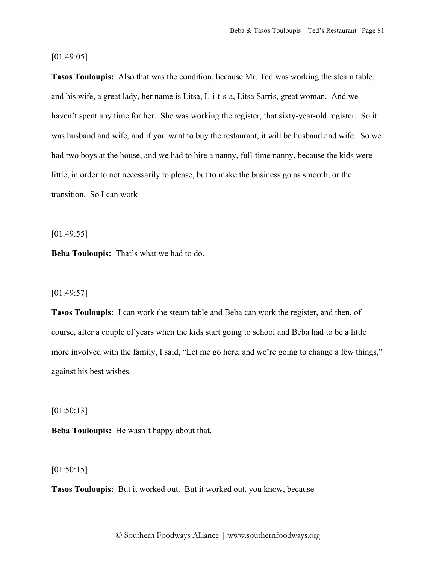## [01:49:05]

**Tasos Touloupis:** Also that was the condition, because Mr. Ted was working the steam table, and his wife, a great lady, her name is Litsa, L-i-t-s-a, Litsa Sarris, great woman. And we haven't spent any time for her. She was working the register, that sixty-year-old register. So it was husband and wife, and if you want to buy the restaurant, it will be husband and wife. So we had two boys at the house, and we had to hire a nanny, full-time nanny, because the kids were little, in order to not necessarily to please, but to make the business go as smooth, or the transition. So I can work—

[01:49:55]

**Beba Touloupis:** That's what we had to do.

## $[01:49:57]$

**Tasos Touloupis:** I can work the steam table and Beba can work the register, and then, of course, after a couple of years when the kids start going to school and Beba had to be a little more involved with the family, I said, "Let me go here, and we're going to change a few things," against his best wishes.

[01:50:13]

**Beba Touloupis:** He wasn't happy about that.

## [01:50:15]

**Tasos Touloupis:** But it worked out. But it worked out, you know, because—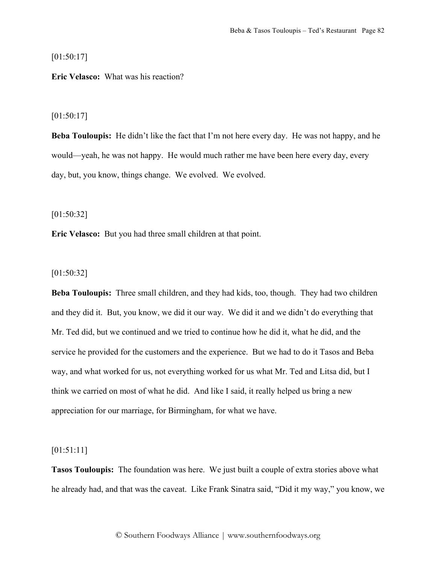[01:50:17]

## **Eric Velasco:** What was his reaction?

## [01:50:17]

**Beba Touloupis:** He didn't like the fact that I'm not here every day. He was not happy, and he would—yeah, he was not happy. He would much rather me have been here every day, every day, but, you know, things change. We evolved. We evolved.

[01:50:32]

**Eric Velasco:** But you had three small children at that point.

## [01:50:32]

**Beba Touloupis:** Three small children, and they had kids, too, though. They had two children and they did it. But, you know, we did it our way. We did it and we didn't do everything that Mr. Ted did, but we continued and we tried to continue how he did it, what he did, and the service he provided for the customers and the experience. But we had to do it Tasos and Beba way, and what worked for us, not everything worked for us what Mr. Ted and Litsa did, but I think we carried on most of what he did. And like I said, it really helped us bring a new appreciation for our marriage, for Birmingham, for what we have.

## [01:51:11]

**Tasos Touloupis:** The foundation was here. We just built a couple of extra stories above what he already had, and that was the caveat. Like Frank Sinatra said, "Did it my way," you know, we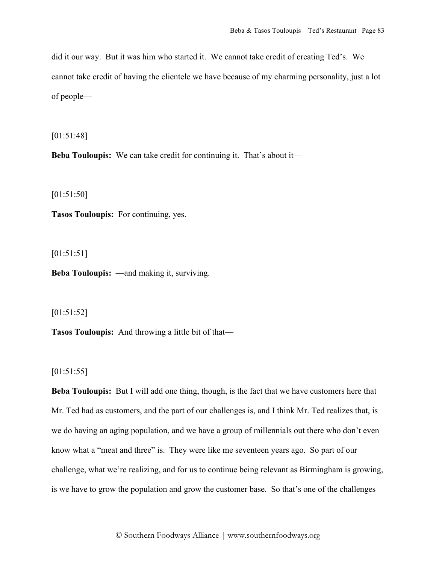did it our way. But it was him who started it. We cannot take credit of creating Ted's. We cannot take credit of having the clientele we have because of my charming personality, just a lot of people—

[01:51:48]

**Beba Touloupis:** We can take credit for continuing it. That's about it—

[01:51:50]

**Tasos Touloupis:** For continuing, yes.

[01:51:51]

**Beba Touloupis:** —and making it, surviving.

[01:51:52]

**Tasos Touloupis:** And throwing a little bit of that—

[01:51:55]

**Beba Touloupis:** But I will add one thing, though, is the fact that we have customers here that Mr. Ted had as customers, and the part of our challenges is, and I think Mr. Ted realizes that, is we do having an aging population, and we have a group of millennials out there who don't even know what a "meat and three" is. They were like me seventeen years ago. So part of our challenge, what we're realizing, and for us to continue being relevant as Birmingham is growing, is we have to grow the population and grow the customer base. So that's one of the challenges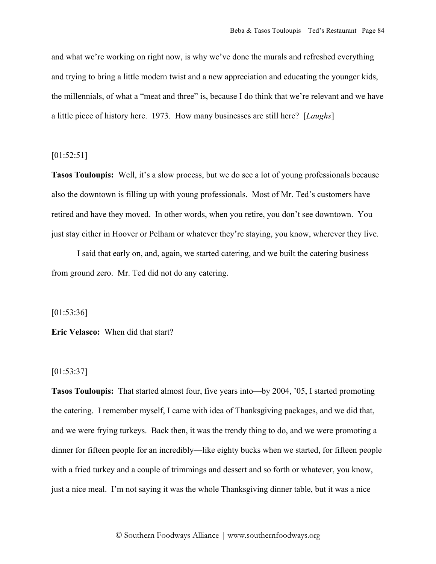and what we're working on right now, is why we've done the murals and refreshed everything and trying to bring a little modern twist and a new appreciation and educating the younger kids, the millennials, of what a "meat and three" is, because I do think that we're relevant and we have a little piece of history here. 1973. How many businesses are still here? [*Laughs*]

## [01:52:51]

**Tasos Touloupis:** Well, it's a slow process, but we do see a lot of young professionals because also the downtown is filling up with young professionals. Most of Mr. Ted's customers have retired and have they moved. In other words, when you retire, you don't see downtown. You just stay either in Hoover or Pelham or whatever they're staying, you know, wherever they live.

I said that early on, and, again, we started catering, and we built the catering business from ground zero. Mr. Ted did not do any catering.

[01:53:36]

**Eric Velasco:** When did that start?

# [01:53:37]

**Tasos Touloupis:** That started almost four, five years into—by 2004, '05, I started promoting the catering. I remember myself, I came with idea of Thanksgiving packages, and we did that, and we were frying turkeys. Back then, it was the trendy thing to do, and we were promoting a dinner for fifteen people for an incredibly—like eighty bucks when we started, for fifteen people with a fried turkey and a couple of trimmings and dessert and so forth or whatever, you know, just a nice meal. I'm not saying it was the whole Thanksgiving dinner table, but it was a nice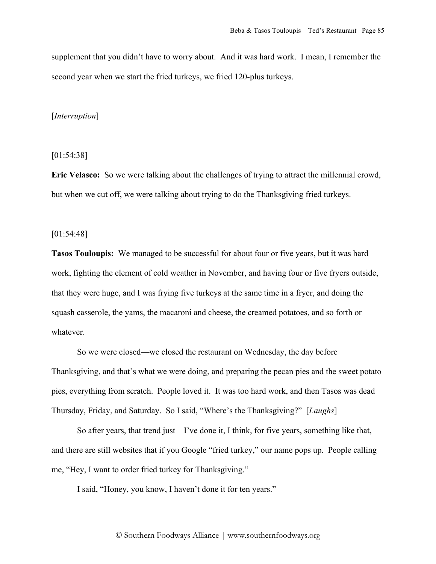supplement that you didn't have to worry about. And it was hard work. I mean, I remember the second year when we start the fried turkeys, we fried 120-plus turkeys.

## [*Interruption*]

[01:54:38]

**Eric Velasco:** So we were talking about the challenges of trying to attract the millennial crowd, but when we cut off, we were talking about trying to do the Thanksgiving fried turkeys.

### [01:54:48]

**Tasos Touloupis:** We managed to be successful for about four or five years, but it was hard work, fighting the element of cold weather in November, and having four or five fryers outside, that they were huge, and I was frying five turkeys at the same time in a fryer, and doing the squash casserole, the yams, the macaroni and cheese, the creamed potatoes, and so forth or whatever.

So we were closed—we closed the restaurant on Wednesday, the day before Thanksgiving, and that's what we were doing, and preparing the pecan pies and the sweet potato pies, everything from scratch. People loved it. It was too hard work, and then Tasos was dead Thursday, Friday, and Saturday. So I said, "Where's the Thanksgiving?" [*Laughs*]

So after years, that trend just—I've done it, I think, for five years, something like that, and there are still websites that if you Google "fried turkey," our name pops up. People calling me, "Hey, I want to order fried turkey for Thanksgiving."

I said, "Honey, you know, I haven't done it for ten years."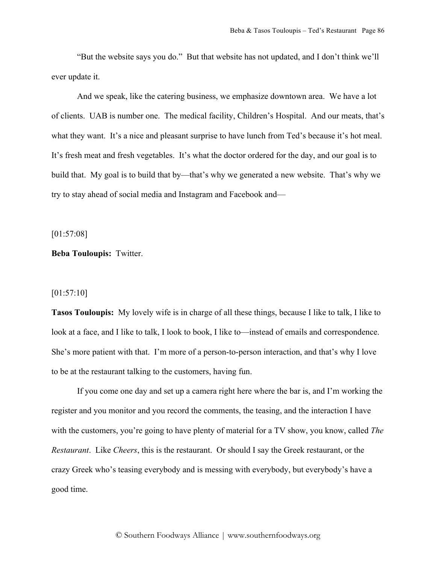"But the website says you do." But that website has not updated, and I don't think we'll ever update it.

And we speak, like the catering business, we emphasize downtown area. We have a lot of clients. UAB is number one. The medical facility, Children's Hospital. And our meats, that's what they want. It's a nice and pleasant surprise to have lunch from Ted's because it's hot meal. It's fresh meat and fresh vegetables. It's what the doctor ordered for the day, and our goal is to build that. My goal is to build that by—that's why we generated a new website. That's why we try to stay ahead of social media and Instagram and Facebook and—

[01:57:08]

### **Beba Touloupis:** Twitter.

## [01:57:10]

**Tasos Touloupis:** My lovely wife is in charge of all these things, because I like to talk, I like to look at a face, and I like to talk, I look to book, I like to—instead of emails and correspondence. She's more patient with that. I'm more of a person-to-person interaction, and that's why I love to be at the restaurant talking to the customers, having fun.

If you come one day and set up a camera right here where the bar is, and I'm working the register and you monitor and you record the comments, the teasing, and the interaction I have with the customers, you're going to have plenty of material for a TV show, you know, called *The Restaurant*. Like *Cheers*, this is the restaurant. Or should I say the Greek restaurant, or the crazy Greek who's teasing everybody and is messing with everybody, but everybody's have a good time.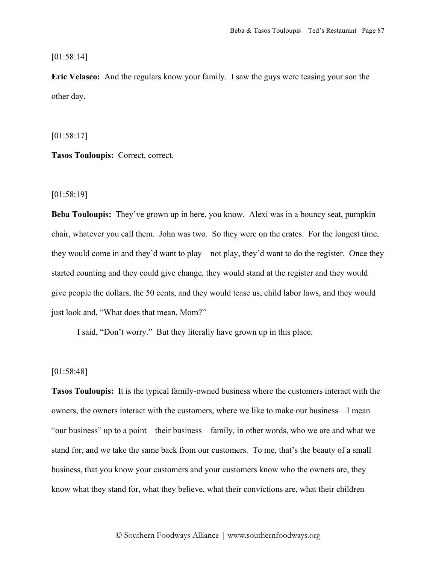[01:58:14]

**Eric Velasco:** And the regulars know your family. I saw the guys were teasing your son the other day.

[01:58:17]

**Tasos Touloupis:** Correct, correct.

[01:58:19]

**Beba Touloupis:** They've grown up in here, you know. Alexi was in a bouncy seat, pumpkin chair, whatever you call them. John was two. So they were on the crates. For the longest time, they would come in and they'd want to play—not play, they'd want to do the register. Once they started counting and they could give change, they would stand at the register and they would give people the dollars, the 50 cents, and they would tease us, child labor laws, and they would just look and, "What does that mean, Mom?"

I said, "Don't worry." But they literally have grown up in this place.

# [01:58:48]

**Tasos Touloupis:** It is the typical family-owned business where the customers interact with the owners, the owners interact with the customers, where we like to make our business—I mean "our business" up to a point—their business—family, in other words, who we are and what we stand for, and we take the same back from our customers. To me, that's the beauty of a small business, that you know your customers and your customers know who the owners are, they know what they stand for, what they believe, what their convictions are, what their children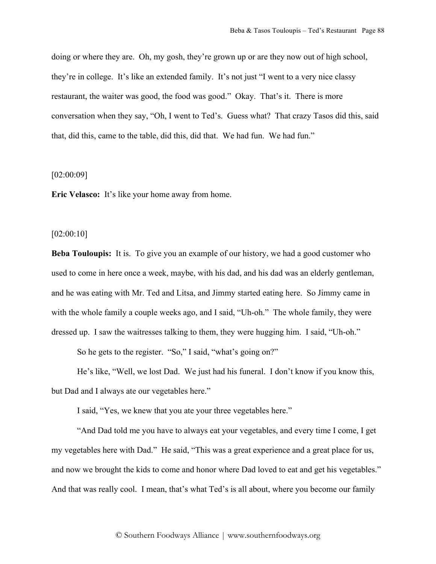doing or where they are. Oh, my gosh, they're grown up or are they now out of high school, they're in college. It's like an extended family. It's not just "I went to a very nice classy restaurant, the waiter was good, the food was good." Okay. That's it. There is more conversation when they say, "Oh, I went to Ted's. Guess what? That crazy Tasos did this, said that, did this, came to the table, did this, did that. We had fun. We had fun."

#### [02:00:09]

**Eric Velasco:** It's like your home away from home.

#### [02:00:10]

**Beba Touloupis:** It is. To give you an example of our history, we had a good customer who used to come in here once a week, maybe, with his dad, and his dad was an elderly gentleman, and he was eating with Mr. Ted and Litsa, and Jimmy started eating here. So Jimmy came in with the whole family a couple weeks ago, and I said, "Uh-oh." The whole family, they were dressed up. I saw the waitresses talking to them, they were hugging him. I said, "Uh-oh."

So he gets to the register. "So," I said, "what's going on?"

He's like, "Well, we lost Dad. We just had his funeral. I don't know if you know this, but Dad and I always ate our vegetables here."

I said, "Yes, we knew that you ate your three vegetables here."

"And Dad told me you have to always eat your vegetables, and every time I come, I get my vegetables here with Dad." He said, "This was a great experience and a great place for us, and now we brought the kids to come and honor where Dad loved to eat and get his vegetables." And that was really cool. I mean, that's what Ted's is all about, where you become our family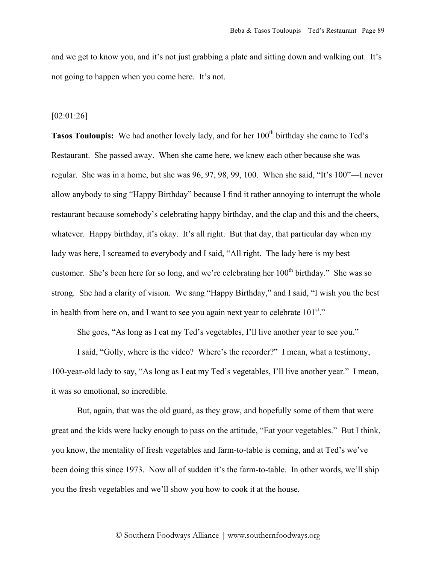and we get to know you, and it's not just grabbing a plate and sitting down and walking out. It's not going to happen when you come here. It's not.

#### [02:01:26]

**Tasos Touloupis:** We had another lovely lady, and for her 100<sup>th</sup> birthday she came to Ted's Restaurant. She passed away. When she came here, we knew each other because she was regular. She was in a home, but she was 96, 97, 98, 99, 100. When she said, "It's 100"—I never allow anybody to sing "Happy Birthday" because I find it rather annoying to interrupt the whole restaurant because somebody's celebrating happy birthday, and the clap and this and the cheers, whatever. Happy birthday, it's okay. It's all right. But that day, that particular day when my lady was here, I screamed to everybody and I said, "All right. The lady here is my best customer. She's been here for so long, and we're celebrating her 100<sup>th</sup> birthday." She was so strong. She had a clarity of vision. We sang "Happy Birthday," and I said, "I wish you the best in health from here on, and I want to see you again next year to celebrate  $101<sup>st</sup>$ ."

She goes, "As long as I eat my Ted's vegetables, I'll live another year to see you."

I said, "Golly, where is the video? Where's the recorder?" I mean, what a testimony, 100-year-old lady to say, "As long as I eat my Ted's vegetables, I'll live another year." I mean, it was so emotional, so incredible.

But, again, that was the old guard, as they grow, and hopefully some of them that were great and the kids were lucky enough to pass on the attitude, "Eat your vegetables." But I think, you know, the mentality of fresh vegetables and farm-to-table is coming, and at Ted's we've been doing this since 1973. Now all of sudden it's the farm-to-table. In other words, we'll ship you the fresh vegetables and we'll show you how to cook it at the house.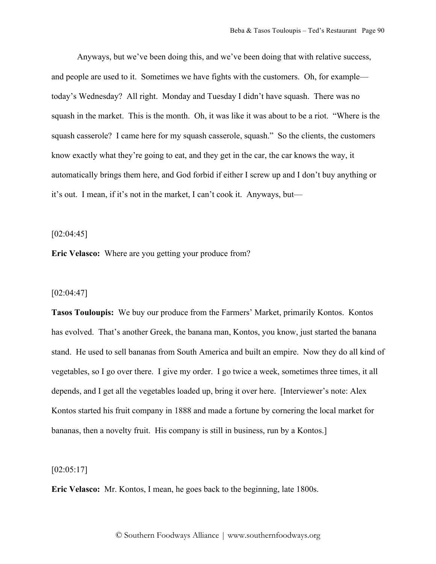Anyways, but we've been doing this, and we've been doing that with relative success, and people are used to it. Sometimes we have fights with the customers. Oh, for example today's Wednesday? All right. Monday and Tuesday I didn't have squash. There was no squash in the market. This is the month. Oh, it was like it was about to be a riot. "Where is the squash casserole? I came here for my squash casserole, squash." So the clients, the customers know exactly what they're going to eat, and they get in the car, the car knows the way, it automatically brings them here, and God forbid if either I screw up and I don't buy anything or it's out. I mean, if it's not in the market, I can't cook it. Anyways, but—

[02:04:45]

**Eric Velasco:** Where are you getting your produce from?

#### [02:04:47]

**Tasos Touloupis:** We buy our produce from the Farmers' Market, primarily Kontos. Kontos has evolved. That's another Greek, the banana man, Kontos, you know, just started the banana stand. He used to sell bananas from South America and built an empire. Now they do all kind of vegetables, so I go over there. I give my order. I go twice a week, sometimes three times, it all depends, and I get all the vegetables loaded up, bring it over here. [Interviewer's note: Alex Kontos started his fruit company in 1888 and made a fortune by cornering the local market for bananas, then a novelty fruit. His company is still in business, run by a Kontos.]

## $[02:05:17]$

**Eric Velasco:** Mr. Kontos, I mean, he goes back to the beginning, late 1800s.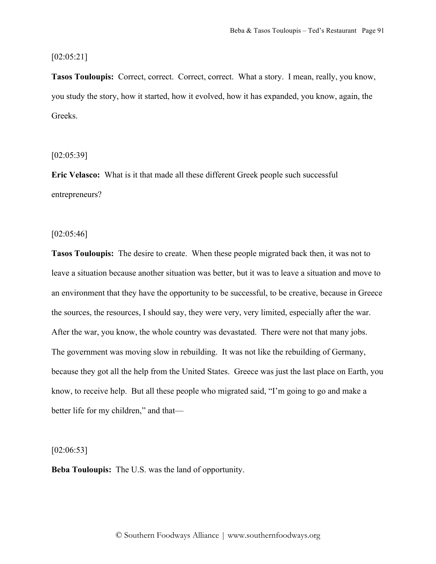### [02:05:21]

**Tasos Touloupis:** Correct, correct. Correct, correct. What a story. I mean, really, you know, you study the story, how it started, how it evolved, how it has expanded, you know, again, the Greeks.

[02:05:39]

**Eric Velasco:** What is it that made all these different Greek people such successful entrepreneurs?

 $[02:05:46]$ 

**Tasos Touloupis:** The desire to create. When these people migrated back then, it was not to leave a situation because another situation was better, but it was to leave a situation and move to an environment that they have the opportunity to be successful, to be creative, because in Greece the sources, the resources, I should say, they were very, very limited, especially after the war. After the war, you know, the whole country was devastated. There were not that many jobs. The government was moving slow in rebuilding. It was not like the rebuilding of Germany, because they got all the help from the United States. Greece was just the last place on Earth, you know, to receive help. But all these people who migrated said, "I'm going to go and make a better life for my children," and that—

[02:06:53]

**Beba Touloupis:** The U.S. was the land of opportunity.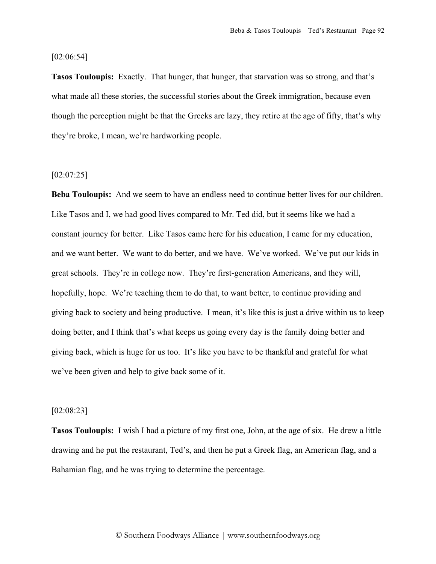[02:06:54]

**Tasos Touloupis:** Exactly. That hunger, that hunger, that starvation was so strong, and that's what made all these stories, the successful stories about the Greek immigration, because even though the perception might be that the Greeks are lazy, they retire at the age of fifty, that's why they're broke, I mean, we're hardworking people.

#### $[02:07:25]$

**Beba Touloupis:** And we seem to have an endless need to continue better lives for our children. Like Tasos and I, we had good lives compared to Mr. Ted did, but it seems like we had a constant journey for better. Like Tasos came here for his education, I came for my education, and we want better. We want to do better, and we have. We've worked. We've put our kids in great schools. They're in college now. They're first-generation Americans, and they will, hopefully, hope. We're teaching them to do that, to want better, to continue providing and giving back to society and being productive. I mean, it's like this is just a drive within us to keep doing better, and I think that's what keeps us going every day is the family doing better and giving back, which is huge for us too. It's like you have to be thankful and grateful for what we've been given and help to give back some of it.

## [02:08:23]

**Tasos Touloupis:** I wish I had a picture of my first one, John, at the age of six. He drew a little drawing and he put the restaurant, Ted's, and then he put a Greek flag, an American flag, and a Bahamian flag, and he was trying to determine the percentage.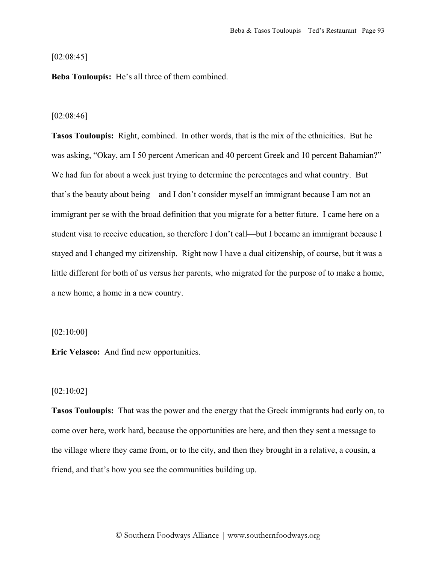## $[02:08:45]$

**Beba Touloupis:** He's all three of them combined.

#### [02:08:46]

**Tasos Touloupis:** Right, combined. In other words, that is the mix of the ethnicities. But he was asking, "Okay, am I 50 percent American and 40 percent Greek and 10 percent Bahamian?" We had fun for about a week just trying to determine the percentages and what country. But that's the beauty about being—and I don't consider myself an immigrant because I am not an immigrant per se with the broad definition that you migrate for a better future. I came here on a student visa to receive education, so therefore I don't call—but I became an immigrant because I stayed and I changed my citizenship. Right now I have a dual citizenship, of course, but it was a little different for both of us versus her parents, who migrated for the purpose of to make a home, a new home, a home in a new country.

### [02:10:00]

**Eric Velasco:** And find new opportunities.

## $[02:10:02]$

**Tasos Touloupis:** That was the power and the energy that the Greek immigrants had early on, to come over here, work hard, because the opportunities are here, and then they sent a message to the village where they came from, or to the city, and then they brought in a relative, a cousin, a friend, and that's how you see the communities building up.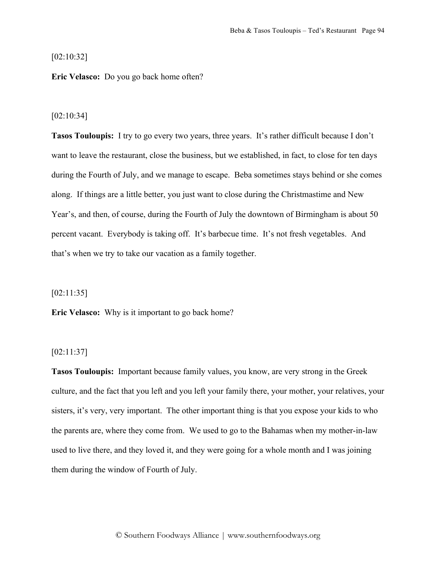## [02:10:32]

**Eric Velasco:** Do you go back home often?

#### [02:10:34]

**Tasos Touloupis:** I try to go every two years, three years. It's rather difficult because I don't want to leave the restaurant, close the business, but we established, in fact, to close for ten days during the Fourth of July, and we manage to escape. Beba sometimes stays behind or she comes along. If things are a little better, you just want to close during the Christmastime and New Year's, and then, of course, during the Fourth of July the downtown of Birmingham is about 50 percent vacant. Everybody is taking off. It's barbecue time. It's not fresh vegetables. And that's when we try to take our vacation as a family together.

[02:11:35]

**Eric Velasco:** Why is it important to go back home?

# [02:11:37]

**Tasos Touloupis:** Important because family values, you know, are very strong in the Greek culture, and the fact that you left and you left your family there, your mother, your relatives, your sisters, it's very, very important. The other important thing is that you expose your kids to who the parents are, where they come from. We used to go to the Bahamas when my mother-in-law used to live there, and they loved it, and they were going for a whole month and I was joining them during the window of Fourth of July.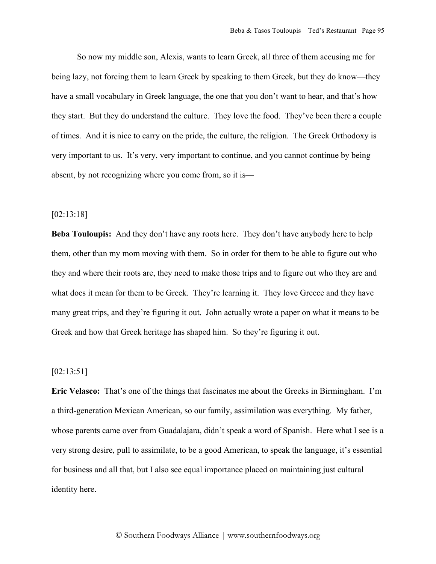So now my middle son, Alexis, wants to learn Greek, all three of them accusing me for being lazy, not forcing them to learn Greek by speaking to them Greek, but they do know—they have a small vocabulary in Greek language, the one that you don't want to hear, and that's how they start. But they do understand the culture. They love the food. They've been there a couple of times. And it is nice to carry on the pride, the culture, the religion. The Greek Orthodoxy is very important to us. It's very, very important to continue, and you cannot continue by being absent, by not recognizing where you come from, so it is—

#### [02:13:18]

**Beba Touloupis:** And they don't have any roots here. They don't have anybody here to help them, other than my mom moving with them. So in order for them to be able to figure out who they and where their roots are, they need to make those trips and to figure out who they are and what does it mean for them to be Greek. They're learning it. They love Greece and they have many great trips, and they're figuring it out. John actually wrote a paper on what it means to be Greek and how that Greek heritage has shaped him. So they're figuring it out.

# [02:13:51]

**Eric Velasco:** That's one of the things that fascinates me about the Greeks in Birmingham. I'm a third-generation Mexican American, so our family, assimilation was everything. My father, whose parents came over from Guadalajara, didn't speak a word of Spanish. Here what I see is a very strong desire, pull to assimilate, to be a good American, to speak the language, it's essential for business and all that, but I also see equal importance placed on maintaining just cultural identity here.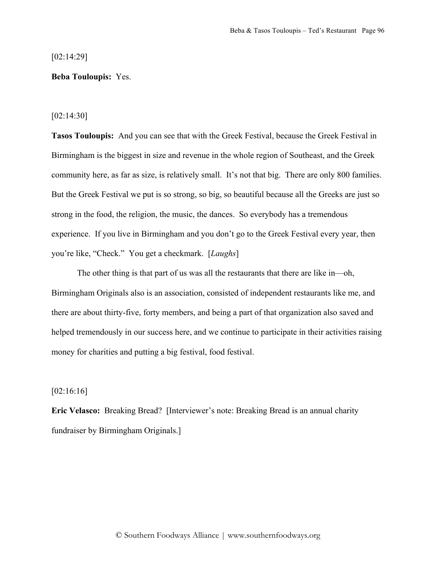[02:14:29]

## **Beba Touloupis:** Yes.

[02:14:30]

**Tasos Touloupis:** And you can see that with the Greek Festival, because the Greek Festival in Birmingham is the biggest in size and revenue in the whole region of Southeast, and the Greek community here, as far as size, is relatively small. It's not that big. There are only 800 families. But the Greek Festival we put is so strong, so big, so beautiful because all the Greeks are just so strong in the food, the religion, the music, the dances. So everybody has a tremendous experience. If you live in Birmingham and you don't go to the Greek Festival every year, then you're like, "Check." You get a checkmark. [*Laughs*]

The other thing is that part of us was all the restaurants that there are like in—oh, Birmingham Originals also is an association, consisted of independent restaurants like me, and there are about thirty-five, forty members, and being a part of that organization also saved and helped tremendously in our success here, and we continue to participate in their activities raising money for charities and putting a big festival, food festival.

# $[02:16:16]$

**Eric Velasco:** Breaking Bread? [Interviewer's note: Breaking Bread is an annual charity fundraiser by Birmingham Originals.]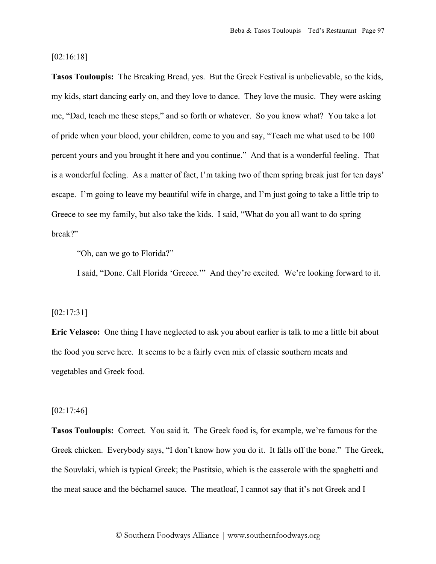### [02:16:18]

**Tasos Touloupis:** The Breaking Bread, yes. But the Greek Festival is unbelievable, so the kids, my kids, start dancing early on, and they love to dance. They love the music. They were asking me, "Dad, teach me these steps," and so forth or whatever. So you know what? You take a lot of pride when your blood, your children, come to you and say, "Teach me what used to be 100 percent yours and you brought it here and you continue." And that is a wonderful feeling. That is a wonderful feeling. As a matter of fact, I'm taking two of them spring break just for ten days' escape. I'm going to leave my beautiful wife in charge, and I'm just going to take a little trip to Greece to see my family, but also take the kids. I said, "What do you all want to do spring break?"

"Oh, can we go to Florida?"

I said, "Done. Call Florida 'Greece.'" And they're excited. We're looking forward to it.

#### [02:17:31]

**Eric Velasco:** One thing I have neglected to ask you about earlier is talk to me a little bit about the food you serve here. It seems to be a fairly even mix of classic southern meats and vegetables and Greek food.

### [02:17:46]

**Tasos Touloupis:** Correct. You said it. The Greek food is, for example, we're famous for the Greek chicken. Everybody says, "I don't know how you do it. It falls off the bone." The Greek, the Souvlaki, which is typical Greek; the Pastitsio, which is the casserole with the spaghetti and the meat sauce and the béchamel sauce. The meatloaf, I cannot say that it's not Greek and I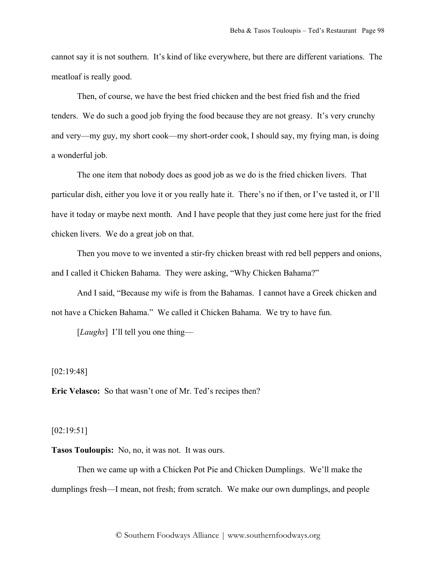cannot say it is not southern. It's kind of like everywhere, but there are different variations. The meatloaf is really good.

Then, of course, we have the best fried chicken and the best fried fish and the fried tenders. We do such a good job frying the food because they are not greasy. It's very crunchy and very—my guy, my short cook—my short-order cook, I should say, my frying man, is doing a wonderful job.

The one item that nobody does as good job as we do is the fried chicken livers. That particular dish, either you love it or you really hate it. There's no if then, or I've tasted it, or I'll have it today or maybe next month. And I have people that they just come here just for the fried chicken livers. We do a great job on that.

Then you move to we invented a stir-fry chicken breast with red bell peppers and onions, and I called it Chicken Bahama. They were asking, "Why Chicken Bahama?"

And I said, "Because my wife is from the Bahamas. I cannot have a Greek chicken and not have a Chicken Bahama." We called it Chicken Bahama. We try to have fun.

[*Laughs*] I'll tell you one thing—

[02:19:48]

**Eric Velasco:** So that wasn't one of Mr. Ted's recipes then?

# [02:19:51]

**Tasos Touloupis:** No, no, it was not. It was ours.

Then we came up with a Chicken Pot Pie and Chicken Dumplings. We'll make the dumplings fresh—I mean, not fresh; from scratch. We make our own dumplings, and people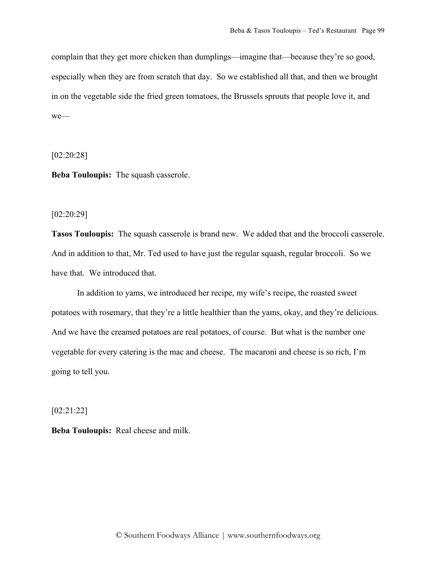complain that they get more chicken than dumplings—imagine that—because they're so good, especially when they are from scratch that day. So we established all that, and then we brought in on the vegetable side the fried green tomatoes, the Brussels sprouts that people love it, and we—

[02:20:28]

**Beba Touloupis:** The squash casserole.

[02:20:29]

**Tasos Touloupis:** The squash casserole is brand new. We added that and the broccoli casserole. And in addition to that, Mr. Ted used to have just the regular squash, regular broccoli. So we have that. We introduced that.

In addition to yams, we introduced her recipe, my wife's recipe, the roasted sweet potatoes with rosemary, that they're a little healthier than the yams, okay, and they're delicious. And we have the creamed potatoes are real potatoes, of course. But what is the number one vegetable for every catering is the mac and cheese. The macaroni and cheese is so rich, I'm going to tell you.

[02:21:22]

**Beba Touloupis:** Real cheese and milk.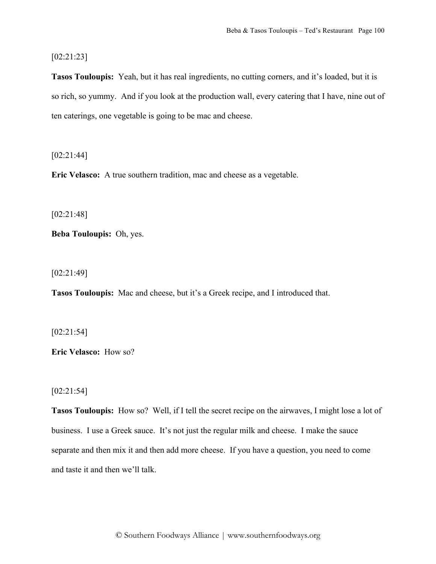[02:21:23]

**Tasos Touloupis:** Yeah, but it has real ingredients, no cutting corners, and it's loaded, but it is so rich, so yummy. And if you look at the production wall, every catering that I have, nine out of ten caterings, one vegetable is going to be mac and cheese.

[02:21:44]

**Eric Velasco:** A true southern tradition, mac and cheese as a vegetable.

[02:21:48]

**Beba Touloupis:** Oh, yes.

[02:21:49]

**Tasos Touloupis:** Mac and cheese, but it's a Greek recipe, and I introduced that.

[02:21:54]

**Eric Velasco:** How so?

[02:21:54]

**Tasos Touloupis:** How so? Well, if I tell the secret recipe on the airwaves, I might lose a lot of business. I use a Greek sauce. It's not just the regular milk and cheese. I make the sauce separate and then mix it and then add more cheese. If you have a question, you need to come and taste it and then we'll talk.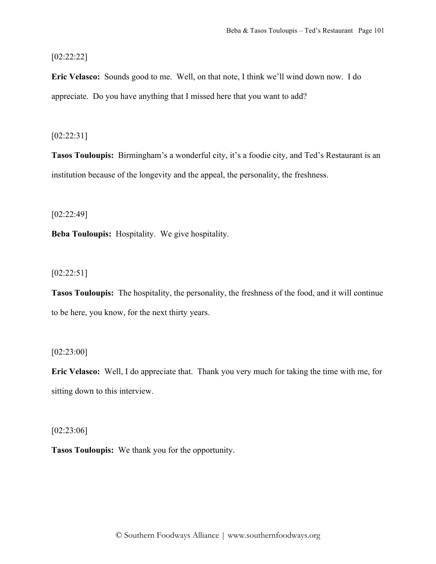# [02:22:22]

**Eric Velasco:** Sounds good to me. Well, on that note, I think we'll wind down now. I do appreciate. Do you have anything that I missed here that you want to add?

# [02:22:31]

**Tasos Touloupis:** Birmingham's a wonderful city, it's a foodie city, and Ted's Restaurant is an institution because of the longevity and the appeal, the personality, the freshness.

[02:22:49]

**Beba Touloupis:** Hospitality. We give hospitality.

[02:22:51]

**Tasos Touloupis:** The hospitality, the personality, the freshness of the food, and it will continue to be here, you know, for the next thirty years.

[02:23:00]

**Eric Velasco:** Well, I do appreciate that. Thank you very much for taking the time with me, for sitting down to this interview.

[02:23:06]

**Tasos Touloupis:** We thank you for the opportunity.